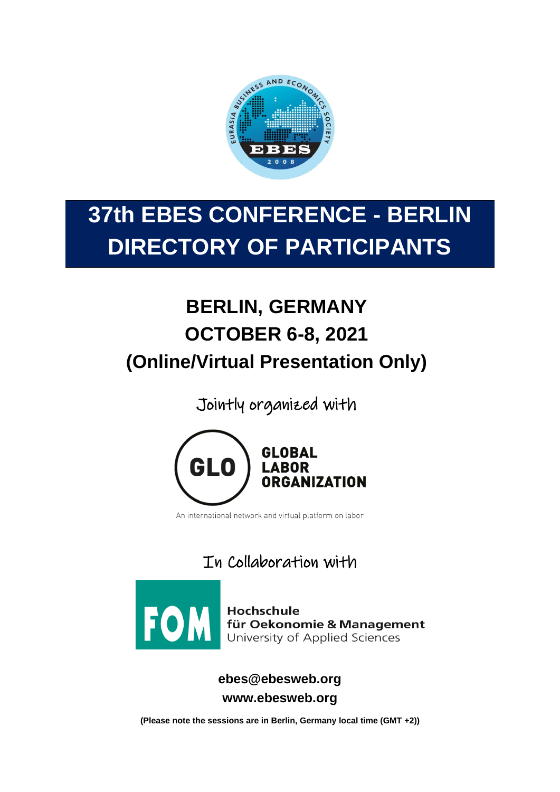

# **37th EBES CONFERENCE - BERLIN DIRECTORY OF PARTICIPANTS**

# **BERLIN, GERMANY OCTOBER 6-8, 2021 (Online/Virtual Presentation Only)**

Jointly organized with



An international network and virtual platform on labor

In Collaboration with



**TOM** Hochschule<br>University of Applied Sciences

**ebes@ebesweb.org www.ebesweb.org**

**(Please note the sessions are in Berlin, Germany local time (GMT +2))**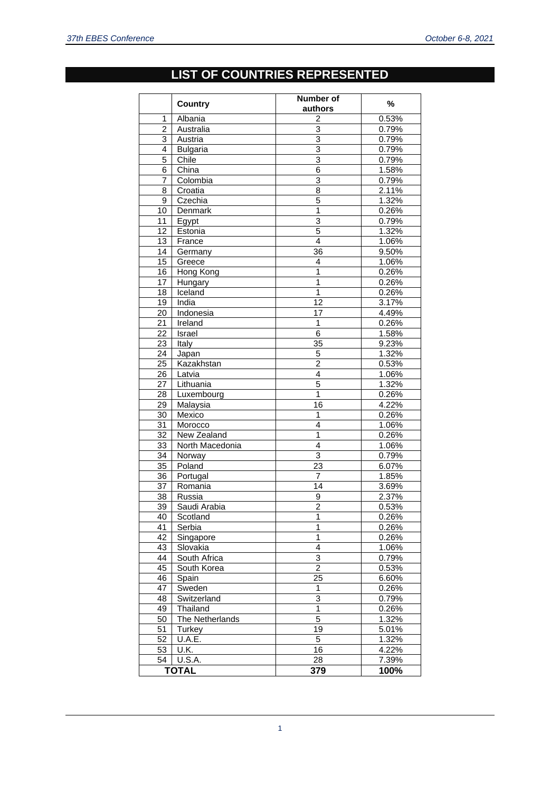#### **LIST OF COUNTRIES REPRESENTED**

|                | <b>Country</b>      | Number of<br>authors    | $\%$  |
|----------------|---------------------|-------------------------|-------|
| 1              | Albania             | 2                       | 0.53% |
| $\overline{c}$ | Australia           | $\overline{3}$          | 0.79% |
| 3              | Austria             | 3                       | 0.79% |
| 4              | <b>Bulgaria</b>     | 3                       | 0.79% |
| 5              | Chile               | $\overline{3}$          | 0.79% |
| 6              | China               | 6                       | 1.58% |
| 7              | Colombia            | 3                       | 0.79% |
| 8              | Croatia             | 8                       | 2.11% |
| 9              | Czechia             | 5                       | 1.32% |
| 10             | Denmark             | $\overline{1}$          | 0.26% |
| 11             | Egypt               | $\overline{3}$          | 0.79% |
| 12             | Estonia             | 5                       | 1.32% |
| 13             | France              | 4                       | 1.06% |
| 14             | Germany             | 36                      | 9.50% |
| 15             | Greece              | $\overline{4}$          | 1.06% |
| 16             | Hong Kong           | $\mathbf{1}$            | 0.26% |
| 17             | Hungary             | $\overline{1}$          | 0.26% |
| 18             | Iceland             | 1                       | 0.26% |
| 19             | India               | 12                      | 3.17% |
| 20             | Indonesia           | 17                      | 4.49% |
| 21             | Ireland             | 1                       | 0.26% |
| 22             | Israel              | $\overline{6}$          | 1.58% |
| 23             | Italy               | 35                      | 9.23% |
| 24             | Japan               | 5                       | 1.32% |
| 25             | Kazakhstan          | $\overline{\mathbf{c}}$ | 0.53% |
| 26             | Latvia              | $\overline{4}$          | 1.06% |
| 27             | Lithuania           | 5                       | 1.32% |
| 28             | Luxembourg          | 1                       | 0.26% |
| 29             | Malaysia            | 16                      | 4.22% |
| 30             | Mexico              | 1                       | 0.26% |
| 31             | Morocco             | 4                       | 1.06% |
| 32             | New Zealand         | $\mathbf{1}$            | 0.26% |
| 33             | North Macedonia     | $\overline{4}$          | 1.06% |
| 34             | Norway              | 3                       | 0.79% |
| 35             | Poland              | 23                      | 6.07% |
| 36             | Portugal            | 7                       | 1.85% |
| 37             | Romania             | $\overline{14}$         | 3.69% |
| 38             | Russia              | 9                       | 2.37% |
| 39             | Saudi Arabia        | $\overline{c}$          | 0.53% |
| 40             | Scotland            | 1                       | 0.26% |
| 41             | Serbia              | 1                       | 0.26% |
| 42             | Singapore           | 1                       | 0.26% |
| 43             | Slovakia            | $\overline{4}$          | 1.06% |
| 44             | South Africa        | 3                       | 0.79% |
| 45             | South Korea         | $\overline{c}$          | 0.53% |
| 46             | Spain               | 25                      | 6.60% |
| 47             | Sweden              | 1                       | 0.26% |
| 48             | Switzerland         | 3                       | 0.79% |
| 49             | Thailand            | $\overline{1}$          | 0.26% |
| 50             | The Netherlands     | 5                       | 1.32% |
| 51             | Turkey              | 19                      | 5.01% |
| 52             | U.A.E.              | 5                       | 1.32% |
| 53             | U.K.                | 16                      | 4.22% |
| 54             | $\overline{U.S.A.}$ | 28                      | 7.39% |
|                | <b>TOTAL</b>        | 379                     | 100%  |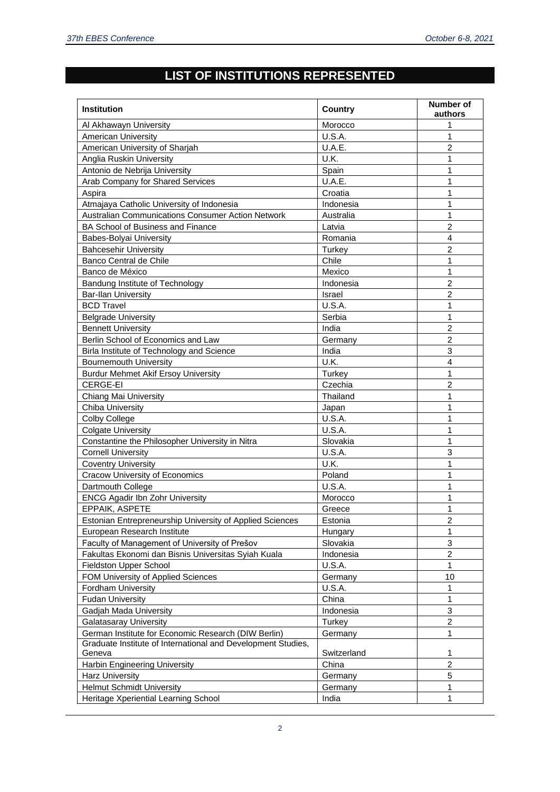## **LIST OF INSTITUTIONS REPRESENTED**

| <b>Institution</b>                                           | <b>Country</b> | Number of<br>authors |
|--------------------------------------------------------------|----------------|----------------------|
| Al Akhawayn University                                       | Morocco        | 1                    |
| <b>American University</b>                                   | U.S.A.         | 1                    |
| American University of Sharjah                               | U.A.E.         | $\overline{2}$       |
| Anglia Ruskin University                                     | U.K.           | 1                    |
| Antonio de Nebrija University                                | Spain          | 1                    |
| Arab Company for Shared Services                             | U.A.E.         | 1                    |
| Aspira                                                       | Croatia        | 1                    |
| Atmajaya Catholic University of Indonesia                    | Indonesia      | 1                    |
| Australian Communications Consumer Action Network            | Australia      | 1                    |
| BA School of Business and Finance                            | Latvia         | $\overline{2}$       |
| Babes-Bolyai University                                      | Romania        | $\overline{4}$       |
| <b>Bahcesehir University</b>                                 | Turkey         | $\overline{2}$       |
| Banco Central de Chile                                       | Chile          | 1                    |
| Banco de México                                              | Mexico         | $\mathbf{1}$         |
| Bandung Institute of Technology                              | Indonesia      | $\overline{2}$       |
| <b>Bar-Ilan University</b>                                   | Israel         | $\overline{2}$       |
| <b>BCD Travel</b>                                            | U.S.A.         | 1                    |
| <b>Belgrade University</b>                                   | Serbia         | $\mathbf{1}$         |
| <b>Bennett University</b>                                    | India          | $\overline{2}$       |
| Berlin School of Economics and Law                           | Germany        | $\overline{2}$       |
| Birla Institute of Technology and Science                    | India          | 3                    |
| <b>Bournemouth University</b>                                | U.K.           | $\overline{4}$       |
| <b>Burdur Mehmet Akif Ersoy University</b>                   | Turkey         | $\mathbf{1}$         |
| CERGE-EI                                                     | Czechia        | $\overline{2}$       |
| Chiang Mai University                                        | Thailand       | 1                    |
| Chiba University                                             | Japan          | 1                    |
| <b>Colby College</b>                                         | U.S.A.         | 1                    |
| <b>Colgate University</b>                                    | U.S.A.         | 1                    |
| Constantine the Philosopher University in Nitra              | Slovakia       | 1                    |
| <b>Cornell University</b>                                    | U.S.A.         | 3                    |
| <b>Coventry University</b>                                   | U.K.           | 1                    |
| <b>Cracow University of Economics</b>                        | Poland         | 1                    |
| Dartmouth College                                            | U.S.A.         | 1                    |
| <b>ENCG Agadir Ibn Zohr University</b>                       | Morocco        | 1                    |
| EPPAIK, ASPETE                                               | Greece         | 1                    |
| Estonian Entrepreneurship University of Applied Sciences     | Estonia        | $\overline{c}$       |
| European Research Institute                                  | Hungary        | 1                    |
| Faculty of Management of University of Prešov                | Slovakia       | 3                    |
| Fakultas Ekonomi dan Bisnis Universitas Syiah Kuala          | Indonesia      | $\overline{2}$       |
| Fieldston Upper School                                       | U.S.A.         | 1                    |
| FOM University of Applied Sciences                           | Germany        | 10                   |
| Fordham University                                           | U.S.A.         | 1                    |
| <b>Fudan University</b>                                      | China          | 1                    |
| Gadjah Mada University                                       | Indonesia      | 3                    |
| <b>Galatasaray University</b>                                | Turkey         | $\overline{c}$       |
| German Institute for Economic Research (DIW Berlin)          | Germany        | 1                    |
| Graduate Institute of International and Development Studies, |                |                      |
| Geneva                                                       | Switzerland    | 1                    |
| Harbin Engineering University                                | China          | $\overline{c}$       |
| Harz University                                              | Germany        | 5                    |
| <b>Helmut Schmidt University</b>                             | Germany        | 1                    |
| Heritage Xperiential Learning School                         | India          | 1                    |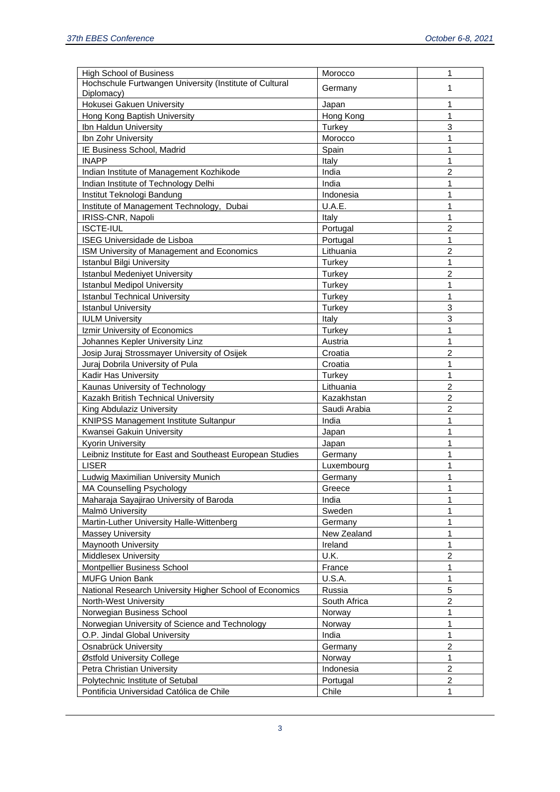| <b>High School of Business</b>                            | Morocco      | 1              |
|-----------------------------------------------------------|--------------|----------------|
| Hochschule Furtwangen University (Institute of Cultural   | Germany      | 1              |
| Diplomacy)<br>Hokusei Gakuen University                   | Japan        | 1              |
| Hong Kong Baptish University                              | Hong Kong    | 1              |
| Ibn Haldun University                                     |              | 3              |
|                                                           | Turkey       | 1              |
| Ibn Zohr University                                       | Morocco      |                |
| IE Business School, Madrid                                | Spain        | 1              |
| <b>INAPP</b>                                              | Italy        | 1              |
| Indian Institute of Management Kozhikode                  | India        | 2              |
| Indian Institute of Technology Delhi                      | India        | 1              |
| Institut Teknologi Bandung                                | Indonesia    | 1              |
| Institute of Management Technology, Dubai                 | U.A.E.       | 1              |
| IRISS-CNR, Napoli                                         | Italy        | 1              |
| <b>ISCTE-IUL</b>                                          | Portugal     | $\overline{2}$ |
| ISEG Universidade de Lisboa                               | Portugal     | 1              |
| ISM University of Management and Economics                | Lithuania    | $\overline{c}$ |
| <b>Istanbul Bilgi University</b>                          | Turkey       | 1              |
| <b>Istanbul Medeniyet University</b>                      | Turkey       | $\overline{c}$ |
| <b>Istanbul Medipol University</b>                        | Turkey       | 1              |
| <b>Istanbul Technical University</b>                      | Turkey       | 1              |
| <b>Istanbul University</b>                                | Turkey       | $\mathbf{3}$   |
| <b>IULM University</b>                                    | Italy        | 3              |
| Izmir University of Economics                             | Turkey       | 1              |
| Johannes Kepler University Linz                           | Austria      | 1              |
| Josip Juraj Strossmayer University of Osijek              | Croatia      | $\overline{c}$ |
| Juraj Dobrila University of Pula                          | Croatia      | 1              |
| Kadir Has University                                      | Turkey       | 1              |
| Kaunas University of Technology                           | Lithuania    | $\overline{c}$ |
| Kazakh British Technical University                       | Kazakhstan   | $\overline{c}$ |
| King Abdulaziz University                                 | Saudi Arabia | $\overline{c}$ |
| <b>KNIPSS Management Institute Sultanpur</b>              | India        | 1              |
| Kwansei Gakuin University                                 | Japan        | 1              |
| <b>Kyorin University</b>                                  | Japan        | 1              |
| Leibniz Institute for East and Southeast European Studies | Germany      | 1              |
| <b>LISER</b>                                              | Luxembourg   | 1              |
|                                                           |              | 1              |
| Ludwig Maximilian University Munich                       | Germany      |                |
| MA Counselling Psychology                                 | Greece       | $\mathbf{1}$   |
| Maharaja Sayajirao University of Baroda                   | India        | 1              |
| Malmö University                                          | Sweden       | 1              |
| Martin-Luther University Halle-Wittenberg                 | Germany      | 1              |
| <b>Massey University</b>                                  | New Zealand  | $\mathbf{1}$   |
| Maynooth University                                       | Ireland      | $\mathbf{1}$   |
| <b>Middlesex University</b>                               | U.K.         | $\overline{c}$ |
| Montpellier Business School                               | France       | $\mathbf{1}$   |
| <b>MUFG Union Bank</b>                                    | U.S.A.       | $\mathbf{1}$   |
| National Research University Higher School of Economics   | Russia       | 5              |
| North-West University                                     | South Africa | $\overline{c}$ |
| Norwegian Business School                                 | Norway       | $\mathbf{1}$   |
| Norwegian University of Science and Technology            | Norway       | $\mathbf{1}$   |
| O.P. Jindal Global University                             | India        | $\mathbf{1}$   |
| Osnabrück University                                      | Germany      | $\overline{c}$ |
| Østfold University College                                | Norway       | $\mathbf{1}$   |
| Petra Christian University                                | Indonesia    | $\overline{c}$ |
| Polytechnic Institute of Setubal                          | Portugal     | $\overline{c}$ |
| Pontificia Universidad Católica de Chile                  | Chile        | $\mathbf{1}$   |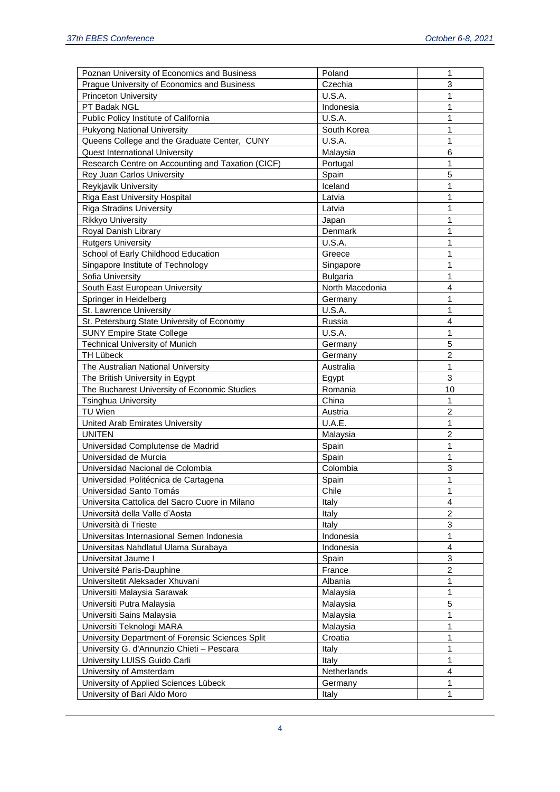| Poznan University of Economics and Business       | Poland          | 1              |
|---------------------------------------------------|-----------------|----------------|
| Prague University of Economics and Business       | Czechia         | 3              |
| <b>Princeton University</b>                       | U.S.A.          | $\mathbf{1}$   |
| PT Badak NGL                                      | Indonesia       | $\mathbf{1}$   |
| Public Policy Institute of California             | U.S.A.          | $\mathbf{1}$   |
| <b>Pukyong National University</b>                | South Korea     | $\mathbf{1}$   |
| Queens College and the Graduate Center, CUNY      | U.S.A.          | $\mathbf{1}$   |
| <b>Quest International University</b>             | Malaysia        | 6              |
| Research Centre on Accounting and Taxation (CICF) | Portugal        | $\mathbf{1}$   |
| Rey Juan Carlos University                        | Spain           | 5              |
| Reykjavik University                              | Iceland         | 1              |
| Riga East University Hospital                     | Latvia          | $\mathbf{1}$   |
| <b>Riga Stradins University</b>                   | Latvia          | $\mathbf{1}$   |
| <b>Rikkyo University</b>                          | Japan           | $\mathbf{1}$   |
| Royal Danish Library                              | Denmark         | $\mathbf{1}$   |
| <b>Rutgers University</b>                         | U.S.A.          | $\mathbf{1}$   |
| School of Early Childhood Education               | Greece          | $\mathbf{1}$   |
| Singapore Institute of Technology                 | Singapore       | $\mathbf{1}$   |
| Sofia University                                  | <b>Bulgaria</b> | $\mathbf{1}$   |
| South East European University                    | North Macedonia | $\overline{4}$ |
| Springer in Heidelberg                            | Germany         | 1              |
| St. Lawrence University                           | U.S.A.          | 1              |
| St. Petersburg State University of Economy        | Russia          | 4              |
| <b>SUNY Empire State College</b>                  | U.S.A.          | 1              |
| <b>Technical University of Munich</b>             | Germany         | 5              |
| <b>TH Lübeck</b>                                  | Germany         | $\overline{2}$ |
| The Australian National University                | Australia       | $\mathbf{1}$   |
| The British University in Egypt                   | Egypt           | 3              |
| The Bucharest University of Economic Studies      | Romania         | 10             |
| <b>Tsinghua University</b>                        | China           | 1              |
| TU Wien                                           | Austria         | $\overline{2}$ |
| United Arab Emirates University                   | U.A.E.          | 1              |
| <b>UNITEN</b>                                     | Malaysia        | $\overline{2}$ |
| Universidad Complutense de Madrid                 | Spain           | 1              |
| Universidad de Murcia                             | Spain           | 1              |
| Universidad Nacional de Colombia                  | Colombia        | 3              |
| Universidad Politécnica de Cartagena              | Spain           | 1              |
| Universidad Santo Tomás                           | Chile           | 1              |
| Universita Cattolica del Sacro Cuore in Milano    | Italy           | 4              |
| Università della Valle d'Aosta                    | Italy           | $\overline{2}$ |
| Università di Trieste                             | Italy           | 3              |
| Universitas Internasional Semen Indonesia         | Indonesia       | $\mathbf{1}$   |
| Universitas Nahdlatul Ulama Surabaya              | Indonesia       | $\overline{4}$ |
| Universitat Jaume I                               | Spain           | 3              |
| Université Paris-Dauphine                         | France          | $\overline{2}$ |
| Universitetit Aleksader Xhuvani                   | Albania         | 1              |
| Universiti Malaysia Sarawak                       | Malaysia        | 1              |
| Universiti Putra Malaysia                         | Malaysia        | 5              |
| Universiti Sains Malaysia                         | Malaysia        | 1              |
| Universiti Teknologi MARA                         | Malaysia        | 1              |
| University Department of Forensic Sciences Split  | Croatia         | 1              |
| University G. d'Annunzio Chieti - Pescara         | Italy           | 1              |
| University LUISS Guido Carli                      | Italy           | 1              |
| University of Amsterdam                           | Netherlands     | 4              |
| University of Applied Sciences Lübeck             | Germany         | 1              |
| University of Bari Aldo Moro                      | Italy           | $\mathbf{1}$   |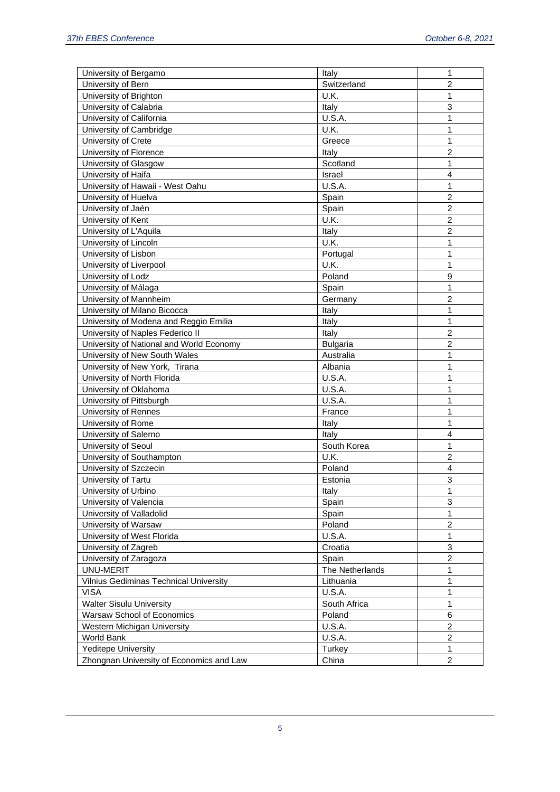| University of Bergamo                         | Italy            | 1                         |
|-----------------------------------------------|------------------|---------------------------|
| University of Bern                            | Switzerland      | $\overline{2}$            |
| University of Brighton                        | U.K.             | 1                         |
| University of Calabria                        | Italy            | 3                         |
| University of California                      | U.S.A.           | 1                         |
| University of Cambridge                       | U.K.             | 1                         |
| University of Crete                           | Greece           | 1                         |
| University of Florence                        | Italy            | $\overline{2}$            |
| University of Glasgow                         | Scotland         | 1                         |
| University of Haifa                           | Israel           | $\overline{4}$            |
| University of Hawaii - West Oahu              | U.S.A.           | 1                         |
| University of Huelva                          | Spain            | $\overline{2}$            |
| University of Jaén                            | Spain            | $\overline{2}$            |
| University of Kent                            | U.K.             | $\overline{2}$            |
| University of L'Aquila                        | Italy            | $\overline{2}$            |
| University of Lincoln                         | U.K.             | 1                         |
| University of Lisbon                          | Portugal         | 1                         |
| University of Liverpool                       | U.K.             | 1                         |
| University of Lodz                            | Poland           | 9                         |
| University of Málaga                          | Spain            | 1                         |
| University of Mannheim                        | Germany          | $\overline{c}$            |
| University of Milano Bicocca                  | Italy            | 1                         |
| University of Modena and Reggio Emilia        | Italy            | 1                         |
| University of Naples Federico II              | Italy            | $\overline{c}$            |
| University of National and World Economy      | <b>Bulgaria</b>  | $\overline{2}$            |
| University of New South Wales                 | Australia        | 1                         |
| University of New York, Tirana                | Albania          | 1                         |
| University of North Florida                   | U.S.A.           | 1                         |
| University of Oklahoma                        | U.S.A.           | 1                         |
| University of Pittsburgh                      | U.S.A.           | 1                         |
| University of Rennes                          | France           | 1                         |
| University of Rome                            | Italy            | 1                         |
| University of Salerno                         | Italy            | $\overline{\mathbf{4}}$   |
| University of Seoul                           | South Korea      | 1                         |
| University of Southampton                     | U.K.             | $\overline{2}$            |
| University of Szczecin                        | Poland           | $\overline{4}$            |
| University of Tartu                           | Estonia          | $\ensuremath{\mathsf{3}}$ |
| University of Urbino                          | Italy            |                           |
| University of Valencia                        | Spain            | 1<br>3                    |
| University of Valladolid                      | Spain            | 1                         |
| University of Warsaw                          | Poland           | $\overline{c}$            |
| University of West Florida                    | U.S.A.           | 1                         |
|                                               |                  | 3                         |
| University of Zagreb                          | Croatia<br>Spain | $\overline{c}$            |
| University of Zaragoza                        |                  |                           |
| UNU-MERIT                                     | The Netherlands  | 1                         |
| <b>Vilnius Gediminas Technical University</b> | Lithuania        | 1                         |
| <b>VISA</b>                                   | U.S.A.           | 1                         |
| <b>Walter Sisulu University</b>               | South Africa     | 1                         |
| <b>Warsaw School of Economics</b>             | Poland           | 6                         |
| Western Michigan University                   | U.S.A.           | $\overline{c}$            |
| World Bank                                    | U.S.A.           | $\overline{c}$            |
| <b>Yeditepe University</b>                    | Turkey           | 1                         |
| Zhongnan University of Economics and Law      | China            | 2                         |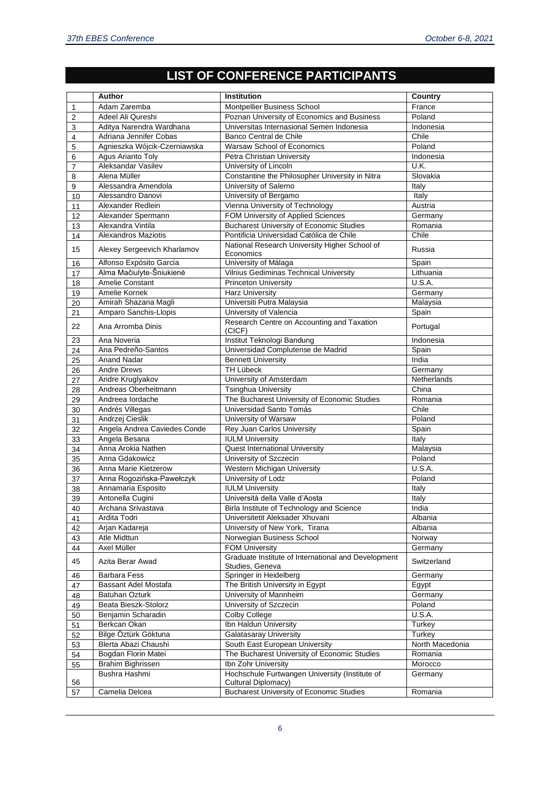## **LIST OF CONFERENCE PARTICIPANTS**

| Adam Zaremba<br>France<br>Montpellier Business School<br>1<br>Adeel Ali Qureshi<br>Poznan University of Economics and Business<br>Poland<br>2<br>Aditya Narendra Wardhana<br>Universitas Internasional Semen Indonesia<br>Indonesia<br>3<br>Adriana Jennifer Cobas<br>Banco Central de Chile<br>Chile<br>4<br>Agnieszka Wójcik-Czerniawska<br>Warsaw School of Economics<br>Poland<br>5<br>Agus Arianto Toly<br>Petra Christian University<br>Indonesia<br>6<br>Aleksandar Vasilev<br>U.K.<br>University of Lincoln<br>7<br>Constantine the Philosopher University in Nitra<br>Slovakia<br>Alena Müller<br>8<br>Alessandra Amendola<br>University of Salerno<br>Italy<br>9<br>University of Bergamo<br>Italy<br>Alessandro Danovi<br>10<br>Vienna University of Technology<br>Austria<br>Alexander Redlein<br>11<br>FOM University of Applied Sciences<br>Alexander Spermann<br>Germany<br>12<br><b>Bucharest University of Economic Studies</b><br>Alexandra Vintila<br>Romania<br>13<br>Pontificia Universidad Católica de Chile<br>Chile<br><b>Alexandros Maziotis</b><br>14<br>National Research University Higher School of<br>15<br>Alexey Sergeevich Kharlamov<br>Russia<br>Economics<br>University of Málaga<br>Alfonso Expósito García<br>Spain<br>16<br>Alma Mačiulyte-Šniukienė<br>Vilnius Gediminas Technical University<br>Lithuania<br>17<br>Amelie Constant<br><b>Princeton University</b><br>U.S.A.<br>18<br>Amelie Kornek<br><b>Harz University</b><br>Germany<br>19<br>Universiti Putra Malaysia<br>Amirah Shazana Magli<br>Malaysia<br>20<br>Amparo Sanchis-Llopis<br>University of Valencia<br>Spain<br>21<br>Research Centre on Accounting and Taxation<br>22<br>Ana Arromba Dinis<br>Portugal<br>(CICF)<br>Institut Teknologi Bandung<br>Indonesia<br>23<br>Ana Noveria<br>Universidad Complutense de Madrid<br>Spain<br>Ana Pedreño-Santos<br>24<br><b>Anand Nadar</b><br>India<br>25<br><b>Bennett University</b><br><b>TH Lübeck</b><br>Germany<br><b>Andre Drews</b><br>26<br>University of Amsterdam<br>Andre Kruglyakov<br>Netherlands<br>27<br>Andreas Oberheitmann<br><b>Tsinghua University</b><br>China<br>28<br>The Bucharest University of Economic Studies<br>Andreea lordache<br>Romania<br>29<br>Universidad Santo Tomás<br>Chile<br>Andrés Villegas<br>30<br>Andrzej Cieslik<br>University of Warsaw<br>Poland<br>31<br>Angela Andrea Caviedes Conde<br>Rey Juan Carlos University<br>Spain<br>32<br>Angela Besana<br><b>IULM University</b><br>Italy<br>33<br>Anna Arokia Nathen<br><b>Quest International University</b><br>Malaysia<br>34<br>University of Szczecin<br>Anna Gdakowicz<br>Poland<br>35<br>Western Michigan University<br>U.S.A.<br>Anna Marie Kietzerow<br>36<br>University of Lodz<br>Poland<br>37<br>Anna Rogozińska-Pawełczyk<br><b>IULM University</b><br>Annamaria Esposito<br>Italy<br>38<br>Università della Valle d'Aosta<br>Antonella Cugini<br>39<br>Italy<br>Archana Srivastava<br>Birla Institute of Technology and Science<br>40<br>India<br>Ardita Todri<br>Universitetit Aleksader Xhuvani<br>Albania<br>41<br>Arjan Kadareja<br>University of New York, Tirana<br>Albania<br>42<br>Atle Midttun<br>Norwegian Business School<br>Norway<br>43<br>Axel Müller<br><b>FOM University</b><br>Germany<br>44<br>Graduate Institute of International and Development<br>45<br>Azita Berar Awad<br>Switzerland<br>Studies, Geneva<br><b>Barbara Fess</b><br>Springer in Heidelberg<br>Germany<br>46<br>Bassant Adel Mostafa<br>The British University in Egypt<br>Egypt<br>47<br>University of Mannheim<br>Germany<br><b>Batuhan Ozturk</b><br>48<br>University of Szczecin<br>Beata Bieszk-Stolorz<br>Poland<br>49<br><b>Colby College</b><br><b>U.S.A.</b><br>Benjamin Scharadin<br>50<br>Ibn Haldun University<br>Berkcan Okan<br>Turkey<br>51<br>Bilge Öztürk Göktuna<br><b>Galatasaray University</b><br>Turkey<br>52<br>Blerta Abazi Chaushi<br>South East European University<br>North Macedonia<br>53<br>The Bucharest University of Economic Studies<br>Bogdan Florin Matei<br>Romania<br>54<br><b>Brahim Bighrissen</b><br>Ibn Zohr University<br>Morocco<br>55<br>Hochschule Furtwangen University (Institute of<br>Bushra Hashmi<br>Germany<br>56<br>Cultural Diplomacy)<br><b>Bucharest University of Economic Studies</b><br>Camelia Delcea<br>57<br>Romania | Author | Institution | Country |
|-------------------------------------------------------------------------------------------------------------------------------------------------------------------------------------------------------------------------------------------------------------------------------------------------------------------------------------------------------------------------------------------------------------------------------------------------------------------------------------------------------------------------------------------------------------------------------------------------------------------------------------------------------------------------------------------------------------------------------------------------------------------------------------------------------------------------------------------------------------------------------------------------------------------------------------------------------------------------------------------------------------------------------------------------------------------------------------------------------------------------------------------------------------------------------------------------------------------------------------------------------------------------------------------------------------------------------------------------------------------------------------------------------------------------------------------------------------------------------------------------------------------------------------------------------------------------------------------------------------------------------------------------------------------------------------------------------------------------------------------------------------------------------------------------------------------------------------------------------------------------------------------------------------------------------------------------------------------------------------------------------------------------------------------------------------------------------------------------------------------------------------------------------------------------------------------------------------------------------------------------------------------------------------------------------------------------------------------------------------------------------------------------------------------------------------------------------------------------------------------------------------------------------------------------------------------------------------------------------------------------------------------------------------------------------------------------------------------------------------------------------------------------------------------------------------------------------------------------------------------------------------------------------------------------------------------------------------------------------------------------------------------------------------------------------------------------------------------------------------------------------------------------------------------------------------------------------------------------------------------------------------------------------------------------------------------------------------------------------------------------------------------------------------------------------------------------------------------------------------------------------------------------------------------------------------------------------------------------------------------------------------------------------------------------------------------------------------------------------------------------------------------------------------------------------------------------------------------------------------------------------------------------------------------------------------------------------------------------------------------------------------------------------------------------------------------------------------------------------------------------------------------------------------------------------------------------------------------------------------------------------------------------------------------------------------------------------------------|--------|-------------|---------|
|                                                                                                                                                                                                                                                                                                                                                                                                                                                                                                                                                                                                                                                                                                                                                                                                                                                                                                                                                                                                                                                                                                                                                                                                                                                                                                                                                                                                                                                                                                                                                                                                                                                                                                                                                                                                                                                                                                                                                                                                                                                                                                                                                                                                                                                                                                                                                                                                                                                                                                                                                                                                                                                                                                                                                                                                                                                                                                                                                                                                                                                                                                                                                                                                                                                                                                                                                                                                                                                                                                                                                                                                                                                                                                                                                                                                                                                                                                                                                                                                                                                                                                                                                                                                                                                                                                                                           |        |             |         |
|                                                                                                                                                                                                                                                                                                                                                                                                                                                                                                                                                                                                                                                                                                                                                                                                                                                                                                                                                                                                                                                                                                                                                                                                                                                                                                                                                                                                                                                                                                                                                                                                                                                                                                                                                                                                                                                                                                                                                                                                                                                                                                                                                                                                                                                                                                                                                                                                                                                                                                                                                                                                                                                                                                                                                                                                                                                                                                                                                                                                                                                                                                                                                                                                                                                                                                                                                                                                                                                                                                                                                                                                                                                                                                                                                                                                                                                                                                                                                                                                                                                                                                                                                                                                                                                                                                                                           |        |             |         |
|                                                                                                                                                                                                                                                                                                                                                                                                                                                                                                                                                                                                                                                                                                                                                                                                                                                                                                                                                                                                                                                                                                                                                                                                                                                                                                                                                                                                                                                                                                                                                                                                                                                                                                                                                                                                                                                                                                                                                                                                                                                                                                                                                                                                                                                                                                                                                                                                                                                                                                                                                                                                                                                                                                                                                                                                                                                                                                                                                                                                                                                                                                                                                                                                                                                                                                                                                                                                                                                                                                                                                                                                                                                                                                                                                                                                                                                                                                                                                                                                                                                                                                                                                                                                                                                                                                                                           |        |             |         |
|                                                                                                                                                                                                                                                                                                                                                                                                                                                                                                                                                                                                                                                                                                                                                                                                                                                                                                                                                                                                                                                                                                                                                                                                                                                                                                                                                                                                                                                                                                                                                                                                                                                                                                                                                                                                                                                                                                                                                                                                                                                                                                                                                                                                                                                                                                                                                                                                                                                                                                                                                                                                                                                                                                                                                                                                                                                                                                                                                                                                                                                                                                                                                                                                                                                                                                                                                                                                                                                                                                                                                                                                                                                                                                                                                                                                                                                                                                                                                                                                                                                                                                                                                                                                                                                                                                                                           |        |             |         |
|                                                                                                                                                                                                                                                                                                                                                                                                                                                                                                                                                                                                                                                                                                                                                                                                                                                                                                                                                                                                                                                                                                                                                                                                                                                                                                                                                                                                                                                                                                                                                                                                                                                                                                                                                                                                                                                                                                                                                                                                                                                                                                                                                                                                                                                                                                                                                                                                                                                                                                                                                                                                                                                                                                                                                                                                                                                                                                                                                                                                                                                                                                                                                                                                                                                                                                                                                                                                                                                                                                                                                                                                                                                                                                                                                                                                                                                                                                                                                                                                                                                                                                                                                                                                                                                                                                                                           |        |             |         |
|                                                                                                                                                                                                                                                                                                                                                                                                                                                                                                                                                                                                                                                                                                                                                                                                                                                                                                                                                                                                                                                                                                                                                                                                                                                                                                                                                                                                                                                                                                                                                                                                                                                                                                                                                                                                                                                                                                                                                                                                                                                                                                                                                                                                                                                                                                                                                                                                                                                                                                                                                                                                                                                                                                                                                                                                                                                                                                                                                                                                                                                                                                                                                                                                                                                                                                                                                                                                                                                                                                                                                                                                                                                                                                                                                                                                                                                                                                                                                                                                                                                                                                                                                                                                                                                                                                                                           |        |             |         |
|                                                                                                                                                                                                                                                                                                                                                                                                                                                                                                                                                                                                                                                                                                                                                                                                                                                                                                                                                                                                                                                                                                                                                                                                                                                                                                                                                                                                                                                                                                                                                                                                                                                                                                                                                                                                                                                                                                                                                                                                                                                                                                                                                                                                                                                                                                                                                                                                                                                                                                                                                                                                                                                                                                                                                                                                                                                                                                                                                                                                                                                                                                                                                                                                                                                                                                                                                                                                                                                                                                                                                                                                                                                                                                                                                                                                                                                                                                                                                                                                                                                                                                                                                                                                                                                                                                                                           |        |             |         |
|                                                                                                                                                                                                                                                                                                                                                                                                                                                                                                                                                                                                                                                                                                                                                                                                                                                                                                                                                                                                                                                                                                                                                                                                                                                                                                                                                                                                                                                                                                                                                                                                                                                                                                                                                                                                                                                                                                                                                                                                                                                                                                                                                                                                                                                                                                                                                                                                                                                                                                                                                                                                                                                                                                                                                                                                                                                                                                                                                                                                                                                                                                                                                                                                                                                                                                                                                                                                                                                                                                                                                                                                                                                                                                                                                                                                                                                                                                                                                                                                                                                                                                                                                                                                                                                                                                                                           |        |             |         |
|                                                                                                                                                                                                                                                                                                                                                                                                                                                                                                                                                                                                                                                                                                                                                                                                                                                                                                                                                                                                                                                                                                                                                                                                                                                                                                                                                                                                                                                                                                                                                                                                                                                                                                                                                                                                                                                                                                                                                                                                                                                                                                                                                                                                                                                                                                                                                                                                                                                                                                                                                                                                                                                                                                                                                                                                                                                                                                                                                                                                                                                                                                                                                                                                                                                                                                                                                                                                                                                                                                                                                                                                                                                                                                                                                                                                                                                                                                                                                                                                                                                                                                                                                                                                                                                                                                                                           |        |             |         |
|                                                                                                                                                                                                                                                                                                                                                                                                                                                                                                                                                                                                                                                                                                                                                                                                                                                                                                                                                                                                                                                                                                                                                                                                                                                                                                                                                                                                                                                                                                                                                                                                                                                                                                                                                                                                                                                                                                                                                                                                                                                                                                                                                                                                                                                                                                                                                                                                                                                                                                                                                                                                                                                                                                                                                                                                                                                                                                                                                                                                                                                                                                                                                                                                                                                                                                                                                                                                                                                                                                                                                                                                                                                                                                                                                                                                                                                                                                                                                                                                                                                                                                                                                                                                                                                                                                                                           |        |             |         |
|                                                                                                                                                                                                                                                                                                                                                                                                                                                                                                                                                                                                                                                                                                                                                                                                                                                                                                                                                                                                                                                                                                                                                                                                                                                                                                                                                                                                                                                                                                                                                                                                                                                                                                                                                                                                                                                                                                                                                                                                                                                                                                                                                                                                                                                                                                                                                                                                                                                                                                                                                                                                                                                                                                                                                                                                                                                                                                                                                                                                                                                                                                                                                                                                                                                                                                                                                                                                                                                                                                                                                                                                                                                                                                                                                                                                                                                                                                                                                                                                                                                                                                                                                                                                                                                                                                                                           |        |             |         |
|                                                                                                                                                                                                                                                                                                                                                                                                                                                                                                                                                                                                                                                                                                                                                                                                                                                                                                                                                                                                                                                                                                                                                                                                                                                                                                                                                                                                                                                                                                                                                                                                                                                                                                                                                                                                                                                                                                                                                                                                                                                                                                                                                                                                                                                                                                                                                                                                                                                                                                                                                                                                                                                                                                                                                                                                                                                                                                                                                                                                                                                                                                                                                                                                                                                                                                                                                                                                                                                                                                                                                                                                                                                                                                                                                                                                                                                                                                                                                                                                                                                                                                                                                                                                                                                                                                                                           |        |             |         |
|                                                                                                                                                                                                                                                                                                                                                                                                                                                                                                                                                                                                                                                                                                                                                                                                                                                                                                                                                                                                                                                                                                                                                                                                                                                                                                                                                                                                                                                                                                                                                                                                                                                                                                                                                                                                                                                                                                                                                                                                                                                                                                                                                                                                                                                                                                                                                                                                                                                                                                                                                                                                                                                                                                                                                                                                                                                                                                                                                                                                                                                                                                                                                                                                                                                                                                                                                                                                                                                                                                                                                                                                                                                                                                                                                                                                                                                                                                                                                                                                                                                                                                                                                                                                                                                                                                                                           |        |             |         |
|                                                                                                                                                                                                                                                                                                                                                                                                                                                                                                                                                                                                                                                                                                                                                                                                                                                                                                                                                                                                                                                                                                                                                                                                                                                                                                                                                                                                                                                                                                                                                                                                                                                                                                                                                                                                                                                                                                                                                                                                                                                                                                                                                                                                                                                                                                                                                                                                                                                                                                                                                                                                                                                                                                                                                                                                                                                                                                                                                                                                                                                                                                                                                                                                                                                                                                                                                                                                                                                                                                                                                                                                                                                                                                                                                                                                                                                                                                                                                                                                                                                                                                                                                                                                                                                                                                                                           |        |             |         |
|                                                                                                                                                                                                                                                                                                                                                                                                                                                                                                                                                                                                                                                                                                                                                                                                                                                                                                                                                                                                                                                                                                                                                                                                                                                                                                                                                                                                                                                                                                                                                                                                                                                                                                                                                                                                                                                                                                                                                                                                                                                                                                                                                                                                                                                                                                                                                                                                                                                                                                                                                                                                                                                                                                                                                                                                                                                                                                                                                                                                                                                                                                                                                                                                                                                                                                                                                                                                                                                                                                                                                                                                                                                                                                                                                                                                                                                                                                                                                                                                                                                                                                                                                                                                                                                                                                                                           |        |             |         |
|                                                                                                                                                                                                                                                                                                                                                                                                                                                                                                                                                                                                                                                                                                                                                                                                                                                                                                                                                                                                                                                                                                                                                                                                                                                                                                                                                                                                                                                                                                                                                                                                                                                                                                                                                                                                                                                                                                                                                                                                                                                                                                                                                                                                                                                                                                                                                                                                                                                                                                                                                                                                                                                                                                                                                                                                                                                                                                                                                                                                                                                                                                                                                                                                                                                                                                                                                                                                                                                                                                                                                                                                                                                                                                                                                                                                                                                                                                                                                                                                                                                                                                                                                                                                                                                                                                                                           |        |             |         |
|                                                                                                                                                                                                                                                                                                                                                                                                                                                                                                                                                                                                                                                                                                                                                                                                                                                                                                                                                                                                                                                                                                                                                                                                                                                                                                                                                                                                                                                                                                                                                                                                                                                                                                                                                                                                                                                                                                                                                                                                                                                                                                                                                                                                                                                                                                                                                                                                                                                                                                                                                                                                                                                                                                                                                                                                                                                                                                                                                                                                                                                                                                                                                                                                                                                                                                                                                                                                                                                                                                                                                                                                                                                                                                                                                                                                                                                                                                                                                                                                                                                                                                                                                                                                                                                                                                                                           |        |             |         |
|                                                                                                                                                                                                                                                                                                                                                                                                                                                                                                                                                                                                                                                                                                                                                                                                                                                                                                                                                                                                                                                                                                                                                                                                                                                                                                                                                                                                                                                                                                                                                                                                                                                                                                                                                                                                                                                                                                                                                                                                                                                                                                                                                                                                                                                                                                                                                                                                                                                                                                                                                                                                                                                                                                                                                                                                                                                                                                                                                                                                                                                                                                                                                                                                                                                                                                                                                                                                                                                                                                                                                                                                                                                                                                                                                                                                                                                                                                                                                                                                                                                                                                                                                                                                                                                                                                                                           |        |             |         |
|                                                                                                                                                                                                                                                                                                                                                                                                                                                                                                                                                                                                                                                                                                                                                                                                                                                                                                                                                                                                                                                                                                                                                                                                                                                                                                                                                                                                                                                                                                                                                                                                                                                                                                                                                                                                                                                                                                                                                                                                                                                                                                                                                                                                                                                                                                                                                                                                                                                                                                                                                                                                                                                                                                                                                                                                                                                                                                                                                                                                                                                                                                                                                                                                                                                                                                                                                                                                                                                                                                                                                                                                                                                                                                                                                                                                                                                                                                                                                                                                                                                                                                                                                                                                                                                                                                                                           |        |             |         |
|                                                                                                                                                                                                                                                                                                                                                                                                                                                                                                                                                                                                                                                                                                                                                                                                                                                                                                                                                                                                                                                                                                                                                                                                                                                                                                                                                                                                                                                                                                                                                                                                                                                                                                                                                                                                                                                                                                                                                                                                                                                                                                                                                                                                                                                                                                                                                                                                                                                                                                                                                                                                                                                                                                                                                                                                                                                                                                                                                                                                                                                                                                                                                                                                                                                                                                                                                                                                                                                                                                                                                                                                                                                                                                                                                                                                                                                                                                                                                                                                                                                                                                                                                                                                                                                                                                                                           |        |             |         |
|                                                                                                                                                                                                                                                                                                                                                                                                                                                                                                                                                                                                                                                                                                                                                                                                                                                                                                                                                                                                                                                                                                                                                                                                                                                                                                                                                                                                                                                                                                                                                                                                                                                                                                                                                                                                                                                                                                                                                                                                                                                                                                                                                                                                                                                                                                                                                                                                                                                                                                                                                                                                                                                                                                                                                                                                                                                                                                                                                                                                                                                                                                                                                                                                                                                                                                                                                                                                                                                                                                                                                                                                                                                                                                                                                                                                                                                                                                                                                                                                                                                                                                                                                                                                                                                                                                                                           |        |             |         |
|                                                                                                                                                                                                                                                                                                                                                                                                                                                                                                                                                                                                                                                                                                                                                                                                                                                                                                                                                                                                                                                                                                                                                                                                                                                                                                                                                                                                                                                                                                                                                                                                                                                                                                                                                                                                                                                                                                                                                                                                                                                                                                                                                                                                                                                                                                                                                                                                                                                                                                                                                                                                                                                                                                                                                                                                                                                                                                                                                                                                                                                                                                                                                                                                                                                                                                                                                                                                                                                                                                                                                                                                                                                                                                                                                                                                                                                                                                                                                                                                                                                                                                                                                                                                                                                                                                                                           |        |             |         |
|                                                                                                                                                                                                                                                                                                                                                                                                                                                                                                                                                                                                                                                                                                                                                                                                                                                                                                                                                                                                                                                                                                                                                                                                                                                                                                                                                                                                                                                                                                                                                                                                                                                                                                                                                                                                                                                                                                                                                                                                                                                                                                                                                                                                                                                                                                                                                                                                                                                                                                                                                                                                                                                                                                                                                                                                                                                                                                                                                                                                                                                                                                                                                                                                                                                                                                                                                                                                                                                                                                                                                                                                                                                                                                                                                                                                                                                                                                                                                                                                                                                                                                                                                                                                                                                                                                                                           |        |             |         |
|                                                                                                                                                                                                                                                                                                                                                                                                                                                                                                                                                                                                                                                                                                                                                                                                                                                                                                                                                                                                                                                                                                                                                                                                                                                                                                                                                                                                                                                                                                                                                                                                                                                                                                                                                                                                                                                                                                                                                                                                                                                                                                                                                                                                                                                                                                                                                                                                                                                                                                                                                                                                                                                                                                                                                                                                                                                                                                                                                                                                                                                                                                                                                                                                                                                                                                                                                                                                                                                                                                                                                                                                                                                                                                                                                                                                                                                                                                                                                                                                                                                                                                                                                                                                                                                                                                                                           |        |             |         |
|                                                                                                                                                                                                                                                                                                                                                                                                                                                                                                                                                                                                                                                                                                                                                                                                                                                                                                                                                                                                                                                                                                                                                                                                                                                                                                                                                                                                                                                                                                                                                                                                                                                                                                                                                                                                                                                                                                                                                                                                                                                                                                                                                                                                                                                                                                                                                                                                                                                                                                                                                                                                                                                                                                                                                                                                                                                                                                                                                                                                                                                                                                                                                                                                                                                                                                                                                                                                                                                                                                                                                                                                                                                                                                                                                                                                                                                                                                                                                                                                                                                                                                                                                                                                                                                                                                                                           |        |             |         |
|                                                                                                                                                                                                                                                                                                                                                                                                                                                                                                                                                                                                                                                                                                                                                                                                                                                                                                                                                                                                                                                                                                                                                                                                                                                                                                                                                                                                                                                                                                                                                                                                                                                                                                                                                                                                                                                                                                                                                                                                                                                                                                                                                                                                                                                                                                                                                                                                                                                                                                                                                                                                                                                                                                                                                                                                                                                                                                                                                                                                                                                                                                                                                                                                                                                                                                                                                                                                                                                                                                                                                                                                                                                                                                                                                                                                                                                                                                                                                                                                                                                                                                                                                                                                                                                                                                                                           |        |             |         |
|                                                                                                                                                                                                                                                                                                                                                                                                                                                                                                                                                                                                                                                                                                                                                                                                                                                                                                                                                                                                                                                                                                                                                                                                                                                                                                                                                                                                                                                                                                                                                                                                                                                                                                                                                                                                                                                                                                                                                                                                                                                                                                                                                                                                                                                                                                                                                                                                                                                                                                                                                                                                                                                                                                                                                                                                                                                                                                                                                                                                                                                                                                                                                                                                                                                                                                                                                                                                                                                                                                                                                                                                                                                                                                                                                                                                                                                                                                                                                                                                                                                                                                                                                                                                                                                                                                                                           |        |             |         |
|                                                                                                                                                                                                                                                                                                                                                                                                                                                                                                                                                                                                                                                                                                                                                                                                                                                                                                                                                                                                                                                                                                                                                                                                                                                                                                                                                                                                                                                                                                                                                                                                                                                                                                                                                                                                                                                                                                                                                                                                                                                                                                                                                                                                                                                                                                                                                                                                                                                                                                                                                                                                                                                                                                                                                                                                                                                                                                                                                                                                                                                                                                                                                                                                                                                                                                                                                                                                                                                                                                                                                                                                                                                                                                                                                                                                                                                                                                                                                                                                                                                                                                                                                                                                                                                                                                                                           |        |             |         |
|                                                                                                                                                                                                                                                                                                                                                                                                                                                                                                                                                                                                                                                                                                                                                                                                                                                                                                                                                                                                                                                                                                                                                                                                                                                                                                                                                                                                                                                                                                                                                                                                                                                                                                                                                                                                                                                                                                                                                                                                                                                                                                                                                                                                                                                                                                                                                                                                                                                                                                                                                                                                                                                                                                                                                                                                                                                                                                                                                                                                                                                                                                                                                                                                                                                                                                                                                                                                                                                                                                                                                                                                                                                                                                                                                                                                                                                                                                                                                                                                                                                                                                                                                                                                                                                                                                                                           |        |             |         |
|                                                                                                                                                                                                                                                                                                                                                                                                                                                                                                                                                                                                                                                                                                                                                                                                                                                                                                                                                                                                                                                                                                                                                                                                                                                                                                                                                                                                                                                                                                                                                                                                                                                                                                                                                                                                                                                                                                                                                                                                                                                                                                                                                                                                                                                                                                                                                                                                                                                                                                                                                                                                                                                                                                                                                                                                                                                                                                                                                                                                                                                                                                                                                                                                                                                                                                                                                                                                                                                                                                                                                                                                                                                                                                                                                                                                                                                                                                                                                                                                                                                                                                                                                                                                                                                                                                                                           |        |             |         |
|                                                                                                                                                                                                                                                                                                                                                                                                                                                                                                                                                                                                                                                                                                                                                                                                                                                                                                                                                                                                                                                                                                                                                                                                                                                                                                                                                                                                                                                                                                                                                                                                                                                                                                                                                                                                                                                                                                                                                                                                                                                                                                                                                                                                                                                                                                                                                                                                                                                                                                                                                                                                                                                                                                                                                                                                                                                                                                                                                                                                                                                                                                                                                                                                                                                                                                                                                                                                                                                                                                                                                                                                                                                                                                                                                                                                                                                                                                                                                                                                                                                                                                                                                                                                                                                                                                                                           |        |             |         |
|                                                                                                                                                                                                                                                                                                                                                                                                                                                                                                                                                                                                                                                                                                                                                                                                                                                                                                                                                                                                                                                                                                                                                                                                                                                                                                                                                                                                                                                                                                                                                                                                                                                                                                                                                                                                                                                                                                                                                                                                                                                                                                                                                                                                                                                                                                                                                                                                                                                                                                                                                                                                                                                                                                                                                                                                                                                                                                                                                                                                                                                                                                                                                                                                                                                                                                                                                                                                                                                                                                                                                                                                                                                                                                                                                                                                                                                                                                                                                                                                                                                                                                                                                                                                                                                                                                                                           |        |             |         |
|                                                                                                                                                                                                                                                                                                                                                                                                                                                                                                                                                                                                                                                                                                                                                                                                                                                                                                                                                                                                                                                                                                                                                                                                                                                                                                                                                                                                                                                                                                                                                                                                                                                                                                                                                                                                                                                                                                                                                                                                                                                                                                                                                                                                                                                                                                                                                                                                                                                                                                                                                                                                                                                                                                                                                                                                                                                                                                                                                                                                                                                                                                                                                                                                                                                                                                                                                                                                                                                                                                                                                                                                                                                                                                                                                                                                                                                                                                                                                                                                                                                                                                                                                                                                                                                                                                                                           |        |             |         |
|                                                                                                                                                                                                                                                                                                                                                                                                                                                                                                                                                                                                                                                                                                                                                                                                                                                                                                                                                                                                                                                                                                                                                                                                                                                                                                                                                                                                                                                                                                                                                                                                                                                                                                                                                                                                                                                                                                                                                                                                                                                                                                                                                                                                                                                                                                                                                                                                                                                                                                                                                                                                                                                                                                                                                                                                                                                                                                                                                                                                                                                                                                                                                                                                                                                                                                                                                                                                                                                                                                                                                                                                                                                                                                                                                                                                                                                                                                                                                                                                                                                                                                                                                                                                                                                                                                                                           |        |             |         |
|                                                                                                                                                                                                                                                                                                                                                                                                                                                                                                                                                                                                                                                                                                                                                                                                                                                                                                                                                                                                                                                                                                                                                                                                                                                                                                                                                                                                                                                                                                                                                                                                                                                                                                                                                                                                                                                                                                                                                                                                                                                                                                                                                                                                                                                                                                                                                                                                                                                                                                                                                                                                                                                                                                                                                                                                                                                                                                                                                                                                                                                                                                                                                                                                                                                                                                                                                                                                                                                                                                                                                                                                                                                                                                                                                                                                                                                                                                                                                                                                                                                                                                                                                                                                                                                                                                                                           |        |             |         |
|                                                                                                                                                                                                                                                                                                                                                                                                                                                                                                                                                                                                                                                                                                                                                                                                                                                                                                                                                                                                                                                                                                                                                                                                                                                                                                                                                                                                                                                                                                                                                                                                                                                                                                                                                                                                                                                                                                                                                                                                                                                                                                                                                                                                                                                                                                                                                                                                                                                                                                                                                                                                                                                                                                                                                                                                                                                                                                                                                                                                                                                                                                                                                                                                                                                                                                                                                                                                                                                                                                                                                                                                                                                                                                                                                                                                                                                                                                                                                                                                                                                                                                                                                                                                                                                                                                                                           |        |             |         |
|                                                                                                                                                                                                                                                                                                                                                                                                                                                                                                                                                                                                                                                                                                                                                                                                                                                                                                                                                                                                                                                                                                                                                                                                                                                                                                                                                                                                                                                                                                                                                                                                                                                                                                                                                                                                                                                                                                                                                                                                                                                                                                                                                                                                                                                                                                                                                                                                                                                                                                                                                                                                                                                                                                                                                                                                                                                                                                                                                                                                                                                                                                                                                                                                                                                                                                                                                                                                                                                                                                                                                                                                                                                                                                                                                                                                                                                                                                                                                                                                                                                                                                                                                                                                                                                                                                                                           |        |             |         |
|                                                                                                                                                                                                                                                                                                                                                                                                                                                                                                                                                                                                                                                                                                                                                                                                                                                                                                                                                                                                                                                                                                                                                                                                                                                                                                                                                                                                                                                                                                                                                                                                                                                                                                                                                                                                                                                                                                                                                                                                                                                                                                                                                                                                                                                                                                                                                                                                                                                                                                                                                                                                                                                                                                                                                                                                                                                                                                                                                                                                                                                                                                                                                                                                                                                                                                                                                                                                                                                                                                                                                                                                                                                                                                                                                                                                                                                                                                                                                                                                                                                                                                                                                                                                                                                                                                                                           |        |             |         |
|                                                                                                                                                                                                                                                                                                                                                                                                                                                                                                                                                                                                                                                                                                                                                                                                                                                                                                                                                                                                                                                                                                                                                                                                                                                                                                                                                                                                                                                                                                                                                                                                                                                                                                                                                                                                                                                                                                                                                                                                                                                                                                                                                                                                                                                                                                                                                                                                                                                                                                                                                                                                                                                                                                                                                                                                                                                                                                                                                                                                                                                                                                                                                                                                                                                                                                                                                                                                                                                                                                                                                                                                                                                                                                                                                                                                                                                                                                                                                                                                                                                                                                                                                                                                                                                                                                                                           |        |             |         |
|                                                                                                                                                                                                                                                                                                                                                                                                                                                                                                                                                                                                                                                                                                                                                                                                                                                                                                                                                                                                                                                                                                                                                                                                                                                                                                                                                                                                                                                                                                                                                                                                                                                                                                                                                                                                                                                                                                                                                                                                                                                                                                                                                                                                                                                                                                                                                                                                                                                                                                                                                                                                                                                                                                                                                                                                                                                                                                                                                                                                                                                                                                                                                                                                                                                                                                                                                                                                                                                                                                                                                                                                                                                                                                                                                                                                                                                                                                                                                                                                                                                                                                                                                                                                                                                                                                                                           |        |             |         |
|                                                                                                                                                                                                                                                                                                                                                                                                                                                                                                                                                                                                                                                                                                                                                                                                                                                                                                                                                                                                                                                                                                                                                                                                                                                                                                                                                                                                                                                                                                                                                                                                                                                                                                                                                                                                                                                                                                                                                                                                                                                                                                                                                                                                                                                                                                                                                                                                                                                                                                                                                                                                                                                                                                                                                                                                                                                                                                                                                                                                                                                                                                                                                                                                                                                                                                                                                                                                                                                                                                                                                                                                                                                                                                                                                                                                                                                                                                                                                                                                                                                                                                                                                                                                                                                                                                                                           |        |             |         |
|                                                                                                                                                                                                                                                                                                                                                                                                                                                                                                                                                                                                                                                                                                                                                                                                                                                                                                                                                                                                                                                                                                                                                                                                                                                                                                                                                                                                                                                                                                                                                                                                                                                                                                                                                                                                                                                                                                                                                                                                                                                                                                                                                                                                                                                                                                                                                                                                                                                                                                                                                                                                                                                                                                                                                                                                                                                                                                                                                                                                                                                                                                                                                                                                                                                                                                                                                                                                                                                                                                                                                                                                                                                                                                                                                                                                                                                                                                                                                                                                                                                                                                                                                                                                                                                                                                                                           |        |             |         |
|                                                                                                                                                                                                                                                                                                                                                                                                                                                                                                                                                                                                                                                                                                                                                                                                                                                                                                                                                                                                                                                                                                                                                                                                                                                                                                                                                                                                                                                                                                                                                                                                                                                                                                                                                                                                                                                                                                                                                                                                                                                                                                                                                                                                                                                                                                                                                                                                                                                                                                                                                                                                                                                                                                                                                                                                                                                                                                                                                                                                                                                                                                                                                                                                                                                                                                                                                                                                                                                                                                                                                                                                                                                                                                                                                                                                                                                                                                                                                                                                                                                                                                                                                                                                                                                                                                                                           |        |             |         |
|                                                                                                                                                                                                                                                                                                                                                                                                                                                                                                                                                                                                                                                                                                                                                                                                                                                                                                                                                                                                                                                                                                                                                                                                                                                                                                                                                                                                                                                                                                                                                                                                                                                                                                                                                                                                                                                                                                                                                                                                                                                                                                                                                                                                                                                                                                                                                                                                                                                                                                                                                                                                                                                                                                                                                                                                                                                                                                                                                                                                                                                                                                                                                                                                                                                                                                                                                                                                                                                                                                                                                                                                                                                                                                                                                                                                                                                                                                                                                                                                                                                                                                                                                                                                                                                                                                                                           |        |             |         |
|                                                                                                                                                                                                                                                                                                                                                                                                                                                                                                                                                                                                                                                                                                                                                                                                                                                                                                                                                                                                                                                                                                                                                                                                                                                                                                                                                                                                                                                                                                                                                                                                                                                                                                                                                                                                                                                                                                                                                                                                                                                                                                                                                                                                                                                                                                                                                                                                                                                                                                                                                                                                                                                                                                                                                                                                                                                                                                                                                                                                                                                                                                                                                                                                                                                                                                                                                                                                                                                                                                                                                                                                                                                                                                                                                                                                                                                                                                                                                                                                                                                                                                                                                                                                                                                                                                                                           |        |             |         |
|                                                                                                                                                                                                                                                                                                                                                                                                                                                                                                                                                                                                                                                                                                                                                                                                                                                                                                                                                                                                                                                                                                                                                                                                                                                                                                                                                                                                                                                                                                                                                                                                                                                                                                                                                                                                                                                                                                                                                                                                                                                                                                                                                                                                                                                                                                                                                                                                                                                                                                                                                                                                                                                                                                                                                                                                                                                                                                                                                                                                                                                                                                                                                                                                                                                                                                                                                                                                                                                                                                                                                                                                                                                                                                                                                                                                                                                                                                                                                                                                                                                                                                                                                                                                                                                                                                                                           |        |             |         |
|                                                                                                                                                                                                                                                                                                                                                                                                                                                                                                                                                                                                                                                                                                                                                                                                                                                                                                                                                                                                                                                                                                                                                                                                                                                                                                                                                                                                                                                                                                                                                                                                                                                                                                                                                                                                                                                                                                                                                                                                                                                                                                                                                                                                                                                                                                                                                                                                                                                                                                                                                                                                                                                                                                                                                                                                                                                                                                                                                                                                                                                                                                                                                                                                                                                                                                                                                                                                                                                                                                                                                                                                                                                                                                                                                                                                                                                                                                                                                                                                                                                                                                                                                                                                                                                                                                                                           |        |             |         |
|                                                                                                                                                                                                                                                                                                                                                                                                                                                                                                                                                                                                                                                                                                                                                                                                                                                                                                                                                                                                                                                                                                                                                                                                                                                                                                                                                                                                                                                                                                                                                                                                                                                                                                                                                                                                                                                                                                                                                                                                                                                                                                                                                                                                                                                                                                                                                                                                                                                                                                                                                                                                                                                                                                                                                                                                                                                                                                                                                                                                                                                                                                                                                                                                                                                                                                                                                                                                                                                                                                                                                                                                                                                                                                                                                                                                                                                                                                                                                                                                                                                                                                                                                                                                                                                                                                                                           |        |             |         |
|                                                                                                                                                                                                                                                                                                                                                                                                                                                                                                                                                                                                                                                                                                                                                                                                                                                                                                                                                                                                                                                                                                                                                                                                                                                                                                                                                                                                                                                                                                                                                                                                                                                                                                                                                                                                                                                                                                                                                                                                                                                                                                                                                                                                                                                                                                                                                                                                                                                                                                                                                                                                                                                                                                                                                                                                                                                                                                                                                                                                                                                                                                                                                                                                                                                                                                                                                                                                                                                                                                                                                                                                                                                                                                                                                                                                                                                                                                                                                                                                                                                                                                                                                                                                                                                                                                                                           |        |             |         |
|                                                                                                                                                                                                                                                                                                                                                                                                                                                                                                                                                                                                                                                                                                                                                                                                                                                                                                                                                                                                                                                                                                                                                                                                                                                                                                                                                                                                                                                                                                                                                                                                                                                                                                                                                                                                                                                                                                                                                                                                                                                                                                                                                                                                                                                                                                                                                                                                                                                                                                                                                                                                                                                                                                                                                                                                                                                                                                                                                                                                                                                                                                                                                                                                                                                                                                                                                                                                                                                                                                                                                                                                                                                                                                                                                                                                                                                                                                                                                                                                                                                                                                                                                                                                                                                                                                                                           |        |             |         |
|                                                                                                                                                                                                                                                                                                                                                                                                                                                                                                                                                                                                                                                                                                                                                                                                                                                                                                                                                                                                                                                                                                                                                                                                                                                                                                                                                                                                                                                                                                                                                                                                                                                                                                                                                                                                                                                                                                                                                                                                                                                                                                                                                                                                                                                                                                                                                                                                                                                                                                                                                                                                                                                                                                                                                                                                                                                                                                                                                                                                                                                                                                                                                                                                                                                                                                                                                                                                                                                                                                                                                                                                                                                                                                                                                                                                                                                                                                                                                                                                                                                                                                                                                                                                                                                                                                                                           |        |             |         |
|                                                                                                                                                                                                                                                                                                                                                                                                                                                                                                                                                                                                                                                                                                                                                                                                                                                                                                                                                                                                                                                                                                                                                                                                                                                                                                                                                                                                                                                                                                                                                                                                                                                                                                                                                                                                                                                                                                                                                                                                                                                                                                                                                                                                                                                                                                                                                                                                                                                                                                                                                                                                                                                                                                                                                                                                                                                                                                                                                                                                                                                                                                                                                                                                                                                                                                                                                                                                                                                                                                                                                                                                                                                                                                                                                                                                                                                                                                                                                                                                                                                                                                                                                                                                                                                                                                                                           |        |             |         |
|                                                                                                                                                                                                                                                                                                                                                                                                                                                                                                                                                                                                                                                                                                                                                                                                                                                                                                                                                                                                                                                                                                                                                                                                                                                                                                                                                                                                                                                                                                                                                                                                                                                                                                                                                                                                                                                                                                                                                                                                                                                                                                                                                                                                                                                                                                                                                                                                                                                                                                                                                                                                                                                                                                                                                                                                                                                                                                                                                                                                                                                                                                                                                                                                                                                                                                                                                                                                                                                                                                                                                                                                                                                                                                                                                                                                                                                                                                                                                                                                                                                                                                                                                                                                                                                                                                                                           |        |             |         |
|                                                                                                                                                                                                                                                                                                                                                                                                                                                                                                                                                                                                                                                                                                                                                                                                                                                                                                                                                                                                                                                                                                                                                                                                                                                                                                                                                                                                                                                                                                                                                                                                                                                                                                                                                                                                                                                                                                                                                                                                                                                                                                                                                                                                                                                                                                                                                                                                                                                                                                                                                                                                                                                                                                                                                                                                                                                                                                                                                                                                                                                                                                                                                                                                                                                                                                                                                                                                                                                                                                                                                                                                                                                                                                                                                                                                                                                                                                                                                                                                                                                                                                                                                                                                                                                                                                                                           |        |             |         |
|                                                                                                                                                                                                                                                                                                                                                                                                                                                                                                                                                                                                                                                                                                                                                                                                                                                                                                                                                                                                                                                                                                                                                                                                                                                                                                                                                                                                                                                                                                                                                                                                                                                                                                                                                                                                                                                                                                                                                                                                                                                                                                                                                                                                                                                                                                                                                                                                                                                                                                                                                                                                                                                                                                                                                                                                                                                                                                                                                                                                                                                                                                                                                                                                                                                                                                                                                                                                                                                                                                                                                                                                                                                                                                                                                                                                                                                                                                                                                                                                                                                                                                                                                                                                                                                                                                                                           |        |             |         |
|                                                                                                                                                                                                                                                                                                                                                                                                                                                                                                                                                                                                                                                                                                                                                                                                                                                                                                                                                                                                                                                                                                                                                                                                                                                                                                                                                                                                                                                                                                                                                                                                                                                                                                                                                                                                                                                                                                                                                                                                                                                                                                                                                                                                                                                                                                                                                                                                                                                                                                                                                                                                                                                                                                                                                                                                                                                                                                                                                                                                                                                                                                                                                                                                                                                                                                                                                                                                                                                                                                                                                                                                                                                                                                                                                                                                                                                                                                                                                                                                                                                                                                                                                                                                                                                                                                                                           |        |             |         |
|                                                                                                                                                                                                                                                                                                                                                                                                                                                                                                                                                                                                                                                                                                                                                                                                                                                                                                                                                                                                                                                                                                                                                                                                                                                                                                                                                                                                                                                                                                                                                                                                                                                                                                                                                                                                                                                                                                                                                                                                                                                                                                                                                                                                                                                                                                                                                                                                                                                                                                                                                                                                                                                                                                                                                                                                                                                                                                                                                                                                                                                                                                                                                                                                                                                                                                                                                                                                                                                                                                                                                                                                                                                                                                                                                                                                                                                                                                                                                                                                                                                                                                                                                                                                                                                                                                                                           |        |             |         |
|                                                                                                                                                                                                                                                                                                                                                                                                                                                                                                                                                                                                                                                                                                                                                                                                                                                                                                                                                                                                                                                                                                                                                                                                                                                                                                                                                                                                                                                                                                                                                                                                                                                                                                                                                                                                                                                                                                                                                                                                                                                                                                                                                                                                                                                                                                                                                                                                                                                                                                                                                                                                                                                                                                                                                                                                                                                                                                                                                                                                                                                                                                                                                                                                                                                                                                                                                                                                                                                                                                                                                                                                                                                                                                                                                                                                                                                                                                                                                                                                                                                                                                                                                                                                                                                                                                                                           |        |             |         |
|                                                                                                                                                                                                                                                                                                                                                                                                                                                                                                                                                                                                                                                                                                                                                                                                                                                                                                                                                                                                                                                                                                                                                                                                                                                                                                                                                                                                                                                                                                                                                                                                                                                                                                                                                                                                                                                                                                                                                                                                                                                                                                                                                                                                                                                                                                                                                                                                                                                                                                                                                                                                                                                                                                                                                                                                                                                                                                                                                                                                                                                                                                                                                                                                                                                                                                                                                                                                                                                                                                                                                                                                                                                                                                                                                                                                                                                                                                                                                                                                                                                                                                                                                                                                                                                                                                                                           |        |             |         |
|                                                                                                                                                                                                                                                                                                                                                                                                                                                                                                                                                                                                                                                                                                                                                                                                                                                                                                                                                                                                                                                                                                                                                                                                                                                                                                                                                                                                                                                                                                                                                                                                                                                                                                                                                                                                                                                                                                                                                                                                                                                                                                                                                                                                                                                                                                                                                                                                                                                                                                                                                                                                                                                                                                                                                                                                                                                                                                                                                                                                                                                                                                                                                                                                                                                                                                                                                                                                                                                                                                                                                                                                                                                                                                                                                                                                                                                                                                                                                                                                                                                                                                                                                                                                                                                                                                                                           |        |             |         |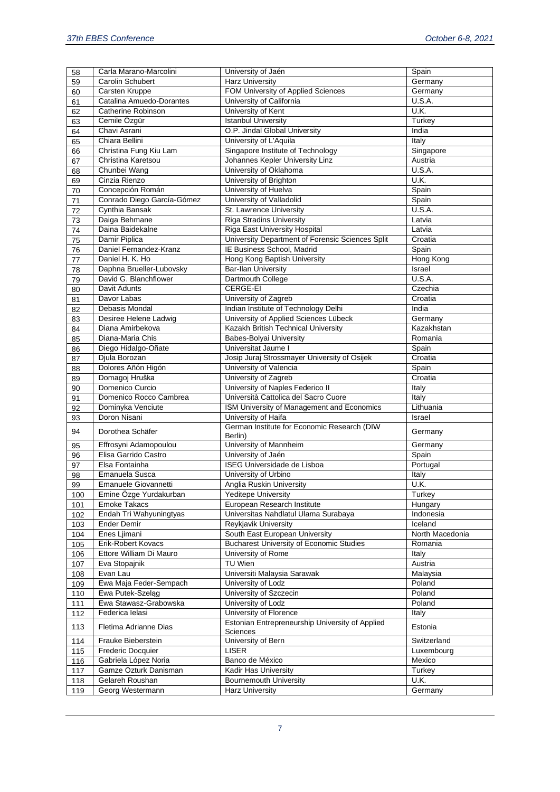| 58  | Carla Marano-Marcolini     | University of Jaén                                          | Spain           |
|-----|----------------------------|-------------------------------------------------------------|-----------------|
| 59  | <b>Carolin Schubert</b>    | <b>Harz University</b>                                      | Germany         |
| 60  | Carsten Kruppe             | FOM University of Applied Sciences                          | Germany         |
| 61  | Catalina Amuedo-Dorantes   | University of California                                    | <b>U.S.A.</b>   |
| 62  | Catherine Robinson         | University of Kent                                          | U.K.            |
| 63  | Cemile Özgür               | <b>Istanbul University</b>                                  | Turkey          |
| 64  | Chavi Asrani               | O.P. Jindal Global University                               | <b>India</b>    |
| 65  | Chiara Bellini             | University of L'Aquila                                      | Italy           |
| 66  | Christina Fung Kiu Lam     | Singapore Institute of Technology                           | Singapore       |
| 67  | Christina Karetsou         | Johannes Kepler University Linz                             | Austria         |
| 68  | Chunbei Wang               | University of Oklahoma                                      | <b>U.S.A.</b>   |
| 69  | Cinzia Rienzo              | University of Brighton                                      | U.K.            |
| 70  | Concepción Román           | University of Huelva                                        | Spain           |
| 71  | Conrado Diego García-Gómez | University of Valladolid                                    | Spain           |
| 72  | Cynthia Bansak             | St. Lawrence University                                     | U.S.A.          |
| 73  | Daiga Behmane              | <b>Riga Stradins University</b>                             | Latvia          |
| 74  | Daina Baidekalne           | Riga East University Hospital                               | Latvia          |
| 75  | Damir Piplica              | University Department of Forensic Sciences Split            | Croatia         |
| 76  | Daniel Fernandez-Kranz     | IE Business School, Madrid                                  | Spain           |
| 77  | Daniel H. K. Ho            | Hong Kong Baptish University                                | Hong Kong       |
| 78  | Daphna Brueller-Lubovsky   | <b>Bar-Ilan University</b>                                  | Israel          |
| 79  | David G. Blanchflower      | Dartmouth College                                           | U.S.A.          |
| 80  | Davit Adunts               | CERGE-EI                                                    | Czechia         |
| 81  | Davor Labas                | University of Zagreb                                        | Croatia         |
| 82  | Debasis Mondal             | Indian Institute of Technology Delhi                        | India           |
| 83  | Desiree Helene Ladwig      | University of Applied Sciences Lübeck                       | Germany         |
| 84  | Diana Amirbekova           | Kazakh British Technical University                         | Kazakhstan      |
| 85  | Diana-Maria Chis           | Babes-Bolyai University                                     | Romania         |
| 86  | Diego Hidalgo-Oñate        | Universitat Jaume I                                         | Spain           |
| 87  | Djula Borozan              | Josip Juraj Strossmayer University of Osijek                | Croatia         |
| 88  | Dolores Añón Higón         | University of Valencia                                      | Spain           |
| 89  | Domagoj Hruška             | University of Zagreb                                        | Croatia         |
| 90  | Domenico Curcio            | University of Naples Federico II                            | Italy           |
| 91  | Domenico Rocco Cambrea     | Università Cattolica del Sacro Cuore                        | Italy           |
| 92  | Dominyka Venciute          | ISM University of Management and Economics                  | Lithuania       |
| 93  | Doron Nisani               | University of Haifa                                         | Israel          |
| 94  | Dorothea Schäfer           | German Institute for Economic Research (DIW<br>Berlin)      | Germany         |
| 95  | Effrosyni Adamopoulou      | University of Mannheim                                      | Germany         |
| 96  | Elisa Garrido Castro       | University of Jaén                                          | Spain           |
| 97  | Elsa Fontainha             | ISEG Universidade de Lisboa                                 | Portugal        |
| 98  | Emanuela Susca             | University of Urbino                                        | Italy           |
| 99  | Emanuele Giovannetti       | Anglia Ruskin University                                    | U.K.            |
| 100 | Emine Özge Yurdakurban     | <b>Yeditepe University</b>                                  | Turkey          |
| 101 | <b>Emoke Takacs</b>        | European Research Institute                                 | Hungary         |
| 102 | Endah Tri Wahyuningtyas    | Universitas Nahdlatul Ulama Surabaya                        | Indonesia       |
| 103 | <b>Ender Demir</b>         | Reykjavik University                                        | Iceland         |
| 104 | Enes Ljimani               | South East European University                              | North Macedonia |
| 105 | Erik-Robert Kovacs         | <b>Bucharest University of Economic Studies</b>             | Romania         |
| 106 | Ettore William Di Mauro    | University of Rome                                          | Italy           |
| 107 | Eva Stopajnik              | TU Wien                                                     | Austria         |
| 108 | Evan Lau                   | Universiti Malaysia Sarawak                                 | Malaysia        |
| 109 | Ewa Maja Feder-Sempach     | University of Lodz                                          | Poland          |
| 110 | Ewa Putek-Szelag           | University of Szczecin                                      | Poland          |
| 111 | Ewa Stawasz-Grabowska      | University of Lodz                                          | Poland          |
| 112 | Federica Ielasi            | University of Florence                                      | Italy           |
| 113 | Fletima Adrianne Dias      | Estonian Entrepreneurship University of Applied<br>Sciences | Estonia         |
| 114 | Frauke Bieberstein         | University of Bern                                          | Switzerland     |
| 115 | <b>Frederic Docquier</b>   | <b>LISER</b>                                                | Luxembourg      |
| 116 | Gabriela López Noria       | Banco de México                                             | Mexico          |
| 117 | Gamze Ozturk Danisman      | Kadir Has University                                        | Turkey          |
| 118 | Gelareh Roushan            | <b>Bournemouth University</b>                               | U.K.            |
| 119 | Georg Westermann           | <b>Harz University</b>                                      | Germany         |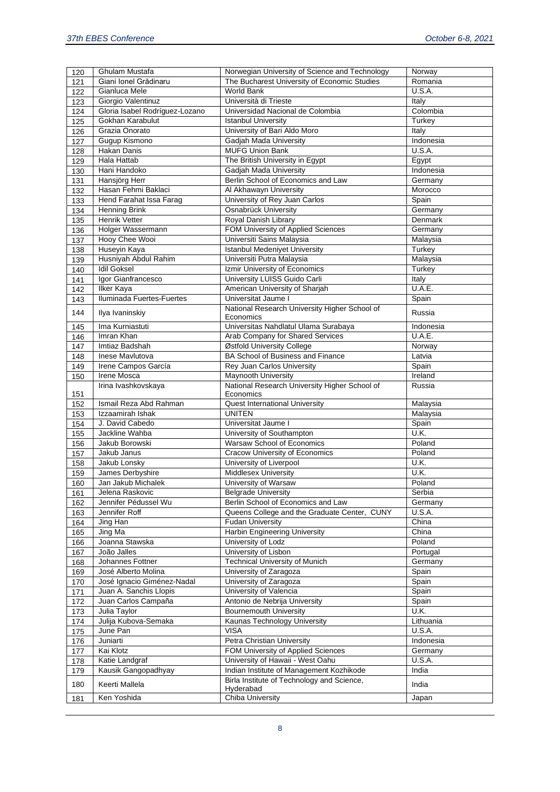| 120 | Ghulam Mustafa                 | Norwegian University of Science and Technology         | Norway        |
|-----|--------------------------------|--------------------------------------------------------|---------------|
| 121 | Giani Ionel Grădinaru          | The Bucharest University of Economic Studies           | Romania       |
| 122 | Gianluca Mele                  | World Bank                                             | <b>U.S.A.</b> |
| 123 | Giorgio Valentinuz             | Università di Trieste                                  | Italy         |
| 124 | Gloria Isabel Rodríguez-Lozano | Universidad Nacional de Colombia                       | Colombia      |
| 125 | Gokhan Karabulut               | <b>Istanbul University</b>                             | Turkey        |
| 126 | Grazia Onorato                 | University of Bari Aldo Moro                           | Italy         |
| 127 | Gugup Kismono                  | Gadjah Mada University                                 | Indonesia     |
| 128 | Hakan Danis                    | <b>MUFG Union Bank</b>                                 | <b>U.S.A.</b> |
| 129 | Hala Hattab                    | The British University in Egypt                        | Egypt         |
| 130 | Hani Handoko                   | Gadjah Mada University                                 | Indonesia     |
| 131 | Hansjörg Herr                  | Berlin School of Economics and Law                     | Germany       |
| 132 | Hasan Fehmi Baklaci            | Al Akhawayn University                                 | Morocco       |
| 133 | Hend Farahat Issa Farag        | University of Rey Juan Carlos                          | Spain         |
| 134 | <b>Henning Brink</b>           | <b>Osnabrück University</b>                            | Germany       |
| 135 | <b>Henrik Vetter</b>           | Royal Danish Library                                   | Denmark       |
| 136 | Holger Wassermann              | FOM University of Applied Sciences                     | Germany       |
| 137 | Hooy Chee Wooi                 | Universiti Sains Malaysia                              | Malaysia      |
|     | Huseyin Kaya                   | <b>Istanbul Medeniyet University</b>                   | Turkey        |
| 138 | Husniyah Abdul Rahim           | Universiti Putra Malaysia                              | Malaysia      |
| 139 | <b>Idil Goksel</b>             | Izmir University of Economics                          | Turkey        |
| 140 |                                |                                                        |               |
| 141 | Igor Gianfrancesco             | University LUISS Guido Carli                           | Italy         |
| 142 | <b>Ilker Kaya</b>              | American University of Sharjah                         | U.A.E.        |
| 143 | Iluminada Fuertes-Fuertes      | Universitat Jaume I                                    | Spain         |
| 144 | Ilya Ivaninskiy                | National Research University Higher School of          | Russia        |
|     | Ima Kurniastuti                | Economics<br>Universitas Nahdlatul Ulama Surabaya      | Indonesia     |
| 145 | Imran Khan                     |                                                        | U.A.E.        |
| 146 |                                | Arab Company for Shared Services                       |               |
| 147 | Imtiaz Badshah                 | Østfold University College                             | Norway        |
| 148 | Inese Mavlutova                | BA School of Business and Finance                      | Latvia        |
| 149 | Irene Campos García            | Rey Juan Carlos University                             | Spain         |
| 150 | Irene Mosca                    | <b>Maynooth University</b>                             | Ireland       |
|     | Irina Ivashkovskaya            | National Research University Higher School of          | Russia        |
| 151 | Ismail Reza Abd Rahman         | Economics                                              |               |
| 152 |                                | <b>Quest International University</b><br><b>UNITEN</b> | Malaysia      |
| 153 | Izzaamirah Ishak               |                                                        | Malaysia      |
| 154 | J. David Cabedo                | Universitat Jaume I                                    | Spain         |
| 155 | Jackline Wahba                 | University of Southampton                              | U.K.          |
| 156 | Jakub Borowski                 | Warsaw School of Economics                             | Poland        |
| 157 | Jakub Janus                    | Cracow University of Economics                         | Poland        |
| 158 | Jakub Lonsky                   | University of Liverpool                                | U.K.          |
| 159 | James Derbyshire               | <b>Middlesex University</b>                            | U.K.          |
| 160 | Jan Jakub Michalek             | University of Warsaw                                   | Poland        |
| 161 | Jelena Raskovic                | <b>Belgrade University</b>                             | Serbia        |
| 162 | Jennifer Pédussel Wu           | Berlin School of Economics and Law                     | Germany       |
| 163 | Jennifer Roff                  | Queens College and the Graduate Center, CUNY           | <b>U.S.A.</b> |
| 164 | Jing Han                       | <b>Fudan University</b>                                | China         |
| 165 | Jing Ma                        | <b>Harbin Engineering University</b>                   | China         |
| 166 | Joanna Stawska                 | University of Lodz                                     | Poland        |
| 167 | João Jalles                    | University of Lisbon                                   | Portugal      |
| 168 | Johannes Fottner               | <b>Technical University of Munich</b>                  | Germany       |
| 169 | José Alberto Molina            | University of Zaragoza                                 | Spain         |
| 170 | José Ignacio Giménez-Nadal     | University of Zaragoza                                 | Spain         |
| 171 | Juan A. Sanchis Llopis         | University of Valencia                                 | Spain         |
| 172 | Juan Carlos Campaña            | Antonio de Nebrija University                          | Spain         |
| 173 | Julia Taylor                   | <b>Bournemouth University</b>                          | U.K.          |
| 174 | Julija Kubova-Semaka           | Kaunas Technology University                           | Lithuania     |
| 175 | June Pan                       | <b>VISA</b>                                            | U.S.A.        |
| 176 | Juniarti                       | Petra Christian University                             | Indonesia     |
| 177 | Kai Klotz                      | FOM University of Applied Sciences                     | Germany       |
| 178 | Katie Landgraf                 | University of Hawaii - West Oahu                       | U.S.A.        |
| 179 | Kausik Gangopadhyay            | Indian Institute of Management Kozhikode               | India         |
|     |                                | Birla Institute of Technology and Science,             |               |
| 180 | Keerti Mallela                 | Hyderabad                                              | India         |
| 181 | Ken Yoshida                    | Chiba University                                       | Japan         |
|     |                                |                                                        |               |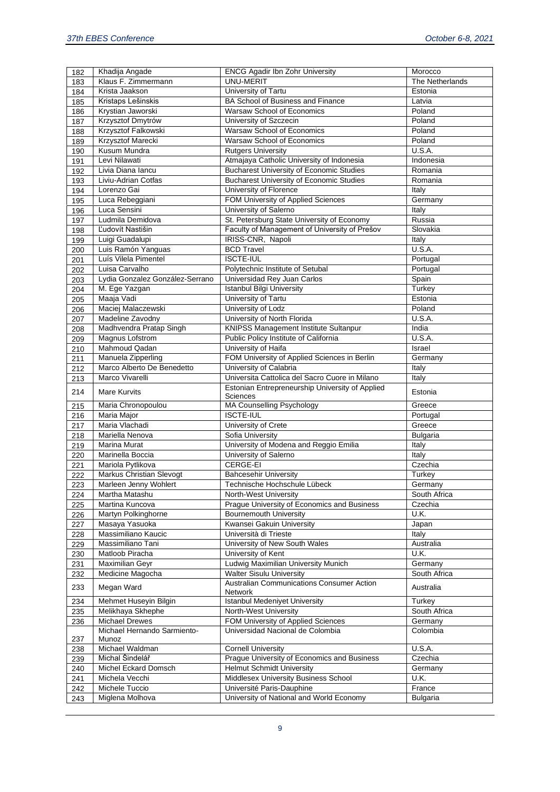| 182        | Khadija Angade                  | <b>ENCG Agadir Ibn Zohr University</b>                                   | Morocco         |
|------------|---------------------------------|--------------------------------------------------------------------------|-----------------|
| 183        | Klaus F. Zimmermann             | <b>UNU-MERIT</b>                                                         | The Netherlands |
| 184        | Krista Jaakson                  | University of Tartu                                                      | Estonia         |
| 185        | Kristaps Lešinskis              | BA School of Business and Finance                                        | Latvia          |
| 186        | Krystian Jaworski               | Warsaw School of Economics                                               | Poland          |
| 187        | Krzysztof Dmytrów               | University of Szczecin                                                   | Poland          |
| 188        | Krzysztof Falkowski             | Warsaw School of Economics                                               | Poland          |
| 189        | Krzysztof Marecki               | Warsaw School of Economics                                               | Poland          |
| 190        | Kusum Mundra                    | <b>Rutgers University</b>                                                | U.S.A.          |
| 191        | Levi Nilawati                   | Atmajaya Catholic University of Indonesia                                | Indonesia       |
| 192        | Livia Diana lancu               | <b>Bucharest University of Economic Studies</b>                          | Romania         |
| 193        | Liviu-Adrian Cotfas             | <b>Bucharest University of Economic Studies</b>                          | Romania         |
| 194        | Lorenzo Gai                     | University of Florence                                                   | Italy           |
| 195        | Luca Rebeggiani                 | FOM University of Applied Sciences                                       | Germany         |
| 196        | Luca Sensini                    | University of Salerno                                                    | Italy           |
| 197        | Ludmila Demidova                | St. Petersburg State University of Economy                               | Russia          |
| 198        | Ľudovít Nastišin                | Faculty of Management of University of Prešov                            | Slovakia        |
| 199        | Luigi Guadalupi                 | IRISS-CNR, Napoli                                                        | Italy           |
| 200        | Luis Ramón Yanguas              | <b>BCD Travel</b>                                                        | U.S.A.          |
| 201        | Luís Vilela Pimentel            | <b>ISCTE-IUL</b>                                                         | Portugal        |
| 202        | Luisa Carvalho                  | Polytechnic Institute of Setubal                                         | Portugal        |
| 203        | Lydia Gonzalez González-Serrano | Universidad Rey Juan Carlos                                              | Spain           |
| 204        | M. Ege Yazgan                   | Istanbul Bilgi University                                                | Turkey          |
| 205        | Maaja Vadi                      | University of Tartu                                                      | Estonia         |
| 206        | Maciej Malaczewski              | University of Lodz                                                       | Poland          |
| 207        | Madeline Zavodny                | University of North Florida                                              | U.S.A.          |
|            | Madhvendra Pratap Singh         | KNIPSS Management Institute Sultanpur                                    | India           |
| 208        | <b>Magnus Lofstrom</b>          | Public Policy Institute of California                                    | <b>U.S.A.</b>   |
| 209<br>210 | <b>Mahmoud Qadan</b>            | University of Haifa                                                      | Israel          |
|            | Manuela Zipperling              | FOM University of Applied Sciences in Berlin                             |                 |
| 211        | Marco Alberto De Benedetto      |                                                                          | Germany         |
| 212        | Marco Vivarelli                 | University of Calabria<br>Universita Cattolica del Sacro Cuore in Milano | Italy           |
| 213        |                                 |                                                                          | Italy           |
| 214        | Mare Kurvits                    | Estonian Entrepreneurship University of Applied<br>Sciences              | Estonia         |
| 215        | Maria Chronopoulou              | <b>MA Counselling Psychology</b>                                         | Greece          |
| 216        | Maria Major                     | <b>ISCTE-IUL</b>                                                         | Portugal        |
| 217        | Maria Vlachadi                  | University of Crete                                                      | Greece          |
| 218        | Mariella Nenova                 | Sofia University                                                         | <b>Bulgaria</b> |
| 219        | Marina Murat                    | University of Modena and Reggio Emilia                                   | Italy           |
| 220        | Marinella Boccia                | University of Salerno                                                    | Italy           |
| 221        | Mariola Pytlikova               | CERGE-EI                                                                 | Czechia         |
| 222        | <b>Markus Christian Slevogt</b> | <b>Bahcesehir University</b>                                             | Turkey          |
| 223        | Marleen Jenny Wohlert           | Technische Hochschule Lübeck                                             | Germany         |
| 224        | Martha Matashu                  | North-West University                                                    | South Africa    |
| 225        | Martina Kuncova                 | Prague University of Economics and Business                              | Czechia         |
| 226        | Martyn Polkinghorne             | <b>Bournemouth University</b>                                            | U.K.            |
| 227        | Masaya Yasuoka                  | Kwansei Gakuin University                                                | Japan           |
| 228        | Massimiliano Kaucic             | Università di Trieste                                                    | Italy           |
| 229        | Massimiliano Tani               | University of New South Wales                                            | Australia       |
| 230        | Matloob Piracha                 | University of Kent                                                       | U.K.            |
| 231        | Maximilian Geyr                 | Ludwig Maximilian University Munich                                      | Germany         |
| 232        | Medicine Magocha                | <b>Walter Sisulu University</b>                                          | South Africa    |
| 233        | Megan Ward                      | Australian Communications Consumer Action<br>Network                     | Australia       |
| 234        | Mehmet Huseyin Bilgin           | <b>Istanbul Medeniyet University</b>                                     | Turkey          |
| 235        | Melikhaya Skhephe               | North-West University                                                    | South Africa    |
| 236        | <b>Michael Drewes</b>           | FOM University of Applied Sciences                                       | Germany         |
|            | Michael Hernando Sarmiento-     | Universidad Nacional de Colombia                                         | Colombia        |
| 237        | Munoz                           |                                                                          |                 |
| 238        | Michael Waldman                 | <b>Cornell University</b>                                                | U.S.A.          |
| 239        | Michal Šindelář                 | Prague University of Economics and Business                              | Czechia         |
| 240        | Michel Eckard Domsch            | <b>Helmut Schmidt University</b>                                         | Germany         |
| 241        | Michela Vecchi                  | Middlesex University Business School                                     | U.K.            |
| 242        | Michele Tuccio                  | Université Paris-Dauphine                                                | France          |
| 243        | Miglena Molhova                 | University of National and World Economy                                 | Bulgaria        |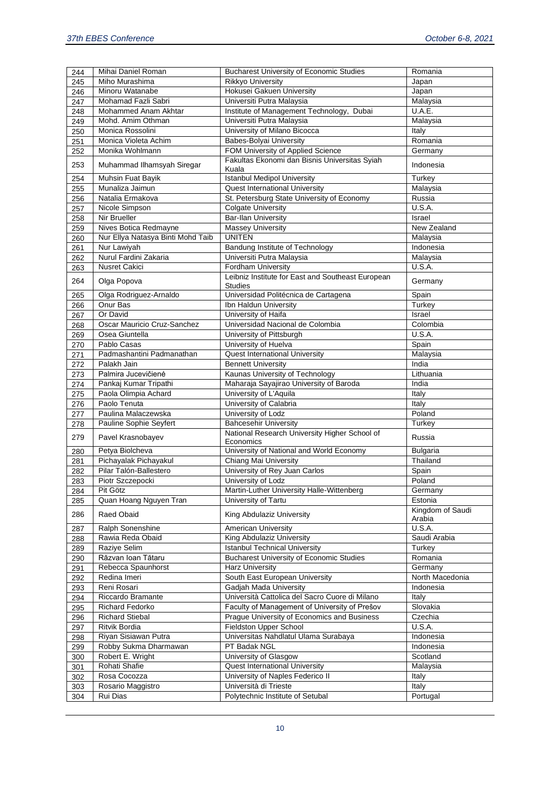| 244        | Mihai Daniel Roman                 | <b>Bucharest University of Economic Studies</b>                                         | Romania                     |
|------------|------------------------------------|-----------------------------------------------------------------------------------------|-----------------------------|
| 245        | Miho Murashima                     | <b>Rikkyo University</b>                                                                | Japan                       |
| 246        | Minoru Watanabe                    | Hokusei Gakuen University                                                               | Japan                       |
| 247        | Mohamad Fazli Sabri                | Universiti Putra Malaysia                                                               | Malaysia                    |
| 248        | Mohammed Anam Akhtar               | Institute of Management Technology, Dubai                                               | U.A.E.                      |
| 249        | Mohd. Amim Othman                  | Universiti Putra Malaysia                                                               | Malaysia                    |
| 250        | Monica Rossolini                   | University of Milano Bicocca                                                            | Italy                       |
| 251        | Monica Violeta Achim               | Babes-Bolyai University                                                                 | Romania                     |
| 252        | Monika Wohlmann                    | FOM University of Applied Science                                                       | Germany                     |
| 253        | Muhammad Ilhamsyah Siregar         | Fakultas Ekonomi dan Bisnis Universitas Syiah<br>Kuala                                  | Indonesia                   |
| 254        | Muhsin Fuat Bayik                  | <b>Istanbul Medipol University</b>                                                      | Turkey                      |
| 255        | Munaliza Jaimun                    | <b>Quest International University</b>                                                   | Malaysia                    |
| 256        | Natalia Ermakova                   | St. Petersburg State University of Economy                                              | Russia                      |
| 257        | Nicole Simpson                     | <b>Colgate University</b>                                                               | <b>U.S.A.</b>               |
| 258        | Nir Brueller                       | <b>Bar-Ilan University</b>                                                              | Israel                      |
| 259        | Nives Botica Redmayne              | <b>Massey University</b>                                                                | New Zealand                 |
| 260        | Nur Ellya Natasya Binti Mohd Taib  | <b>UNITEN</b>                                                                           | Malaysia                    |
| 261        | Nur Lawiyah                        | Bandung Institute of Technology                                                         | Indonesia                   |
| 262        | Nurul Fardini Zakaria              | Universiti Putra Malaysia                                                               | Malaysia                    |
| 263        | <b>Nusret Cakici</b>               | <b>Fordham University</b>                                                               | U.S.A.                      |
| 264        | Olga Popova                        | Leibniz Institute for East and Southeast European<br><b>Studies</b>                     | Germany                     |
| 265        | Olga Rodriguez-Arnaldo             | Universidad Politécnica de Cartagena                                                    | Spain                       |
| 266        | Onur Bas                           | Ibn Haldun University                                                                   | Turkey                      |
| 267        | Or David                           | University of Haifa                                                                     | Israel                      |
| 268        | Oscar Mauricio Cruz-Sanchez        | Universidad Nacional de Colombia                                                        | Colombia                    |
| 269        | Osea Giuntella                     | University of Pittsburgh                                                                | U.S.A.                      |
| 270        | Pablo Casas                        | University of Huelva                                                                    | Spain                       |
| 271        | Padmashantini Padmanathan          | <b>Quest International University</b>                                                   | Malaysia                    |
| 272        | Palakh Jain                        | <b>Bennett University</b>                                                               | India                       |
| 273        | Palmira Jucevičienė                | Kaunas University of Technology                                                         | Lithuania                   |
| 274        | Pankaj Kumar Tripathi              | Maharaja Sayajirao University of Baroda                                                 | India                       |
| 275        | Paola Olimpia Achard               | University of L'Aquila                                                                  | Italy                       |
| 276        | Paolo Tenuta                       | University of Calabria                                                                  | Italy                       |
| 277        | Paulina Malaczewska                | University of Lodz                                                                      | Poland                      |
| 278        | Pauline Sophie Seyfert             | <b>Bahcesehir University</b>                                                            | Turkey                      |
| 279        | Pavel Krasnobayev                  | National Research University Higher School of<br>Economics                              | Russia                      |
| 280        | Petya Biolcheva                    | University of National and World Economy                                                | <b>Bulgaria</b>             |
| 281        | Pichayalak Pichayakul              | Chiang Mai University                                                                   | Thailand                    |
| 282        | Pilar Talón-Ballestero             | University of Rey Juan Carlos                                                           | Spain                       |
| 283        | Piotr Szczepocki<br>Pit Götz       | University of Lodz                                                                      | Poland                      |
| 284        | Quan Hoang Nguyen Tran             | Martin-Luther University Halle-Wittenberg<br>University of Tartu                        | Germany                     |
| 285        |                                    |                                                                                         | Estonia<br>Kingdom of Saudi |
| 286        | Raed Obaid                         | King Abdulaziz University                                                               | Arabia                      |
| 287        | Ralph Sonenshine                   | American University<br>King Abdulaziz University                                        | <b>U.S.A.</b>               |
| 288        | Rawia Reda Obaid                   |                                                                                         | Saudi Arabia                |
| 289        | Raziye Selim<br>Răzvan Ioan Tătaru | <b>Istanbul Technical University</b><br><b>Bucharest University of Economic Studies</b> | Turkey<br>Romania           |
| 290        |                                    |                                                                                         |                             |
| 291<br>292 | Rebecca Spaunhorst<br>Redina Imeri | Harz University<br>South East European University                                       | Germany<br>North Macedonia  |
|            | Reni Rosari                        | Gadjah Mada University                                                                  | Indonesia                   |
| 293<br>294 | Riccardo Bramante                  | Università Cattolica del Sacro Cuore di Milano                                          | Italy                       |
| 295        | Richard Fedorko                    | Faculty of Management of University of Prešov                                           | Slovakia                    |
| 296        | <b>Richard Stiebal</b>             | Prague University of Economics and Business                                             | Czechia                     |
| 297        | Ritvik Bordia                      | Fieldston Upper School                                                                  | <b>U.S.A.</b>               |
| 298        | Riyan Sisiawan Putra               | Universitas Nahdlatul Ulama Surabaya                                                    | Indonesia                   |
| 299        | Robby Sukma Dharmawan              | PT Badak NGL                                                                            | Indonesia                   |
| 300        | Robert E. Wright                   | University of Glasgow                                                                   | Scotland                    |
| 301        | Rohati Shafie                      | <b>Quest International University</b>                                                   | Malaysia                    |
| 302        | Rosa Cocozza                       | University of Naples Federico II                                                        | Italy                       |
| 303        | Rosario Maggistro                  | Università di Trieste                                                                   | Italy                       |
| 304        | Rui Dias                           | Polytechnic Institute of Setubal                                                        | Portugal                    |
|            |                                    |                                                                                         |                             |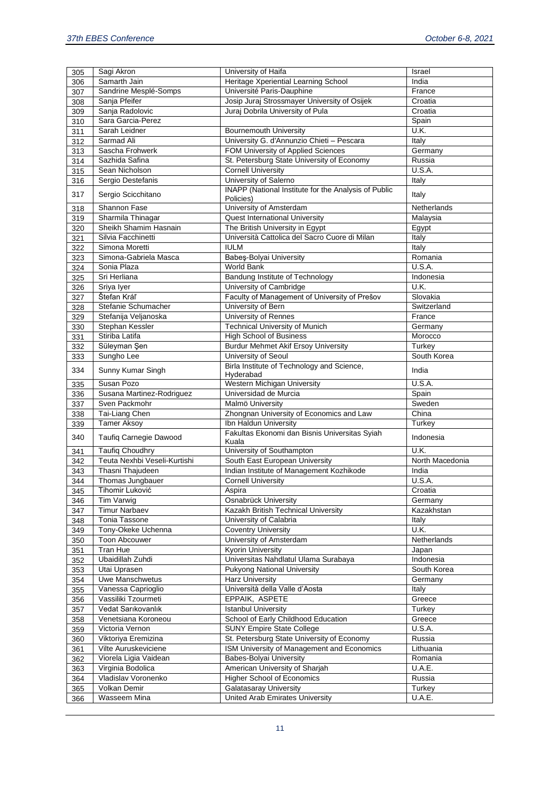| 305 | Sagi Akron                      | University of Haifa                                     | Israel          |
|-----|---------------------------------|---------------------------------------------------------|-----------------|
| 306 | Samarth Jain                    | Heritage Xperiential Learning School                    | India           |
| 307 | Sandrine Mesplé-Somps           | Université Paris-Dauphine                               | France          |
| 308 | Sanja Pfeifer                   | Josip Juraj Strossmayer University of Osijek            | Croatia         |
| 309 | Sanja Radolovic                 | Juraj Dobrila University of Pula                        | Croatia         |
| 310 | Sara Garcia-Perez               |                                                         | Spain           |
| 311 | Sarah Leidner                   | <b>Bournemouth University</b>                           | U.K.            |
| 312 | Sarmad Ali                      | University G. d'Annunzio Chieti - Pescara               | Italy           |
| 313 | Sascha Frohwerk                 | FOM University of Applied Sciences                      | Germany         |
| 314 | Sazhida Safina                  | St. Petersburg State University of Economy              | Russia          |
| 315 | Sean Nicholson                  | <b>Cornell University</b>                               | U.S.A.          |
| 316 | Sergio Destefanis               | University of Salerno                                   | Italy           |
|     |                                 | INAPP (National Institute for the Analysis of Public    |                 |
| 317 | Sergio Scicchitano              | Policies)                                               | Italy           |
| 318 | Shannon Fase                    | University of Amsterdam                                 | Netherlands     |
| 319 | Sharmila Thinagar               | <b>Quest International University</b>                   | Malaysia        |
| 320 | Sheikh Shamim Hasnain           | The British University in Egypt                         | Egypt           |
| 321 | Silvia Facchinetti              | Università Cattolica del Sacro Cuore di Milan           | Italy           |
| 322 | Simona Moretti                  | <b>IULM</b>                                             | Italy           |
| 323 | Simona-Gabriela Masca           | Babeş-Bolyai University                                 | Romania         |
| 324 | Sonia Plaza                     | World Bank                                              | U.S.A.          |
| 325 | Sri Herliana                    | Bandung Institute of Technology                         | Indonesia       |
|     | Sriya Iyer                      | University of Cambridge                                 | U.K.            |
| 326 | Štefan Kráľ                     | Faculty of Management of University of Prešov           | Slovakia        |
| 327 | Stefanie Schumacher             | University of Bern                                      | Switzerland     |
| 328 |                                 |                                                         |                 |
| 329 | Stefanija Veljanoska            | University of Rennes                                    | France          |
| 330 | Stephan Kessler                 | <b>Technical University of Munich</b>                   | Germany         |
| 331 | Stiriba Latifa                  | <b>High School of Business</b>                          | Morocco         |
| 332 | Süleyman Şen                    | <b>Burdur Mehmet Akif Ersoy University</b>              | Turkey          |
| 333 | Sungho Lee                      | University of Seoul                                     | South Korea     |
| 334 | Sunny Kumar Singh               | Birla Institute of Technology and Science,<br>Hyderabad | India           |
| 335 | Susan Pozo                      | Western Michigan University                             | <b>U.S.A.</b>   |
| 336 | Susana Martinez-Rodriguez       | Universidad de Murcia                                   | Spain           |
| 337 | Sven Packmohr                   | Malmö University                                        | Sweden          |
| 338 | Tai-Liang Chen                  | Zhongnan University of Economics and Law                | China           |
| 339 | <b>Tamer Aksoy</b>              | Ibn Haldun University                                   | Turkey          |
| 340 | Taufiq Carnegie Dawood          | Fakultas Ekonomi dan Bisnis Universitas Syiah<br>Kuala  | Indonesia       |
| 341 | <b>Taufiq Choudhry</b>          | University of Southampton                               | U.K.            |
| 342 | Teuta Nexhbi Veseli-Kurtishi    | South East European University                          | North Macedonia |
| 343 | Thasni Thajudeen                | Indian Institute of Management Kozhikode                | <b>India</b>    |
| 344 | Thomas Jungbauer                | <b>Cornell University</b>                               | U.S.A.          |
| 345 | Tihomir Luković                 | Aspira                                                  | Croatia         |
| 346 | Tim Varwig                      | Osnabrück University                                    | Germany         |
| 347 | <b>Timur Narbaev</b>            | Kazakh British Technical University                     | Kazakhstan      |
| 348 | Tonia Tassone                   | University of Calabria                                  | Italy           |
| 349 | Tony-Okeke Uchenna              | <b>Coventry University</b>                              | U.K.            |
| 350 | Toon Abcouwer                   | University of Amsterdam                                 | Netherlands     |
| 351 | Tran Hue                        | <b>Kyorin University</b>                                | Japan           |
|     | Ubaidillah Zuhdi                | Universitas Nahdlatul Ulama Surabaya                    | Indonesia       |
| 352 |                                 | <b>Pukyong National University</b>                      | South Korea     |
| 353 | Utai Uprasen<br>Uwe Manschwetus |                                                         |                 |
| 354 |                                 | <b>Harz University</b>                                  | Germany         |
| 355 | Vanessa Caprioglio              | Università della Valle d'Aosta                          | Italy           |
| 356 | Vassiliki Tzourmeti             | EPPAIK, ASPETE                                          | Greece          |
| 357 | Vedat Sarıkovanlık              | <b>Istanbul University</b>                              | Turkey          |
| 358 | Venetsiana Koroneou             | School of Early Childhood Education                     | Greece          |
| 359 | Victoria Vernon                 | <b>SUNY Empire State College</b>                        | <b>U.S.A.</b>   |
| 360 | Viktoriya Eremizina             | St. Petersburg State University of Economy              | Russia          |
| 361 | Vilte Auruskeviciene            | ISM University of Management and Economics              | Lithuania       |
| 362 | Viorela Ligia Vaidean           | Babes-Bolyai University                                 | Romania         |
| 363 | Virginia Bodolica               | American University of Sharjah                          | U.A.E.          |
| 364 | Vladislav Voronenko             | <b>Higher School of Economics</b>                       | Russia          |
| 365 | Volkan Demir                    | <b>Galatasaray University</b>                           | Turkey          |
| 366 | Wasseem Mina                    | United Arab Emirates University                         | U.A.E.          |
|     |                                 |                                                         |                 |